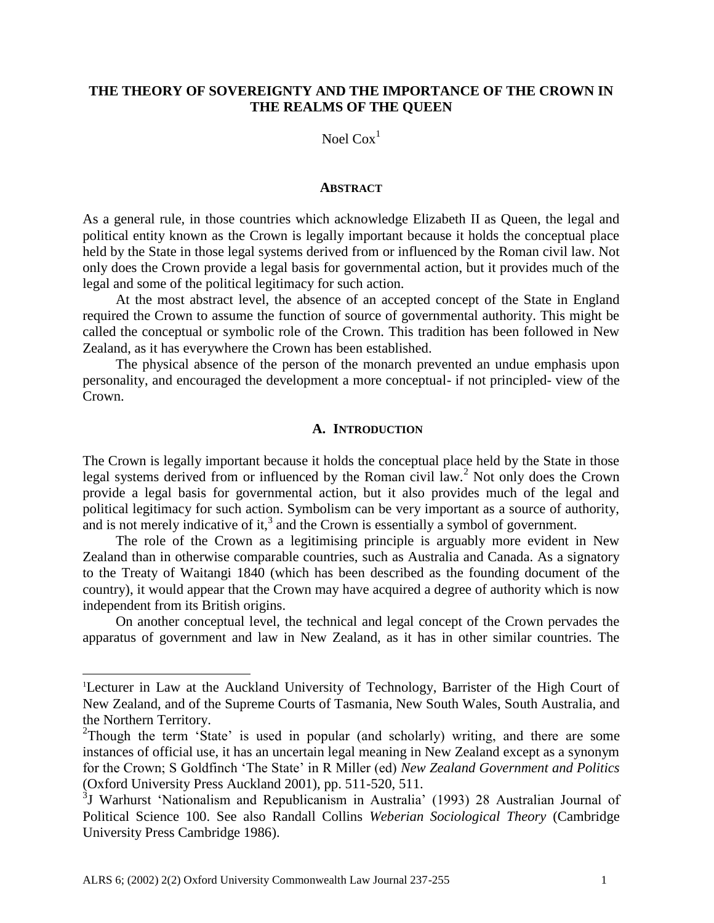## **THE THEORY OF SOVEREIGNTY AND THE IMPORTANCE OF THE CROWN IN THE REALMS OF THE QUEEN**

Noel  $\text{Cox}^1$ 

#### **ABSTRACT**

As a general rule, in those countries which acknowledge Elizabeth II as Queen, the legal and political entity known as the Crown is legally important because it holds the conceptual place held by the State in those legal systems derived from or influenced by the Roman civil law. Not only does the Crown provide a legal basis for governmental action, but it provides much of the legal and some of the political legitimacy for such action.

At the most abstract level, the absence of an accepted concept of the State in England required the Crown to assume the function of source of governmental authority. This might be called the conceptual or symbolic role of the Crown. This tradition has been followed in New Zealand, as it has everywhere the Crown has been established.

The physical absence of the person of the monarch prevented an undue emphasis upon personality, and encouraged the development a more conceptual- if not principled- view of the Crown.

### **A. INTRODUCTION**

The Crown is legally important because it holds the conceptual place held by the State in those legal systems derived from or influenced by the Roman civil law.<sup>2</sup> Not only does the Crown provide a legal basis for governmental action, but it also provides much of the legal and political legitimacy for such action. Symbolism can be very important as a source of authority, and is not merely indicative of it,<sup>3</sup> and the Crown is essentially a symbol of government.

The role of the Crown as a legitimising principle is arguably more evident in New Zealand than in otherwise comparable countries, such as Australia and Canada. As a signatory to the Treaty of Waitangi 1840 (which has been described as the founding document of the country), it would appear that the Crown may have acquired a degree of authority which is now independent from its British origins.

On another conceptual level, the technical and legal concept of the Crown pervades the apparatus of government and law in New Zealand, as it has in other similar countries. The

<sup>1</sup>Lecturer in Law at the Auckland University of Technology, Barrister of the High Court of New Zealand, and of the Supreme Courts of Tasmania, New South Wales, South Australia, and the Northern Territory.

<sup>&</sup>lt;sup>2</sup>Though the term 'State' is used in popular (and scholarly) writing, and there are some instances of official use, it has an uncertain legal meaning in New Zealand except as a synonym for the Crown; S Goldfinch 'The State' in R Miller (ed) *New Zealand Government and Politics* (Oxford University Press Auckland 2001), pp. 511-520, 511.

<sup>&</sup>lt;sup>3</sup>J Warhurst 'Nationalism and Republicanism in Australia' (1993) 28 Australian Journal of Political Science 100. See also Randall Collins *Weberian Sociological Theory* (Cambridge University Press Cambridge 1986).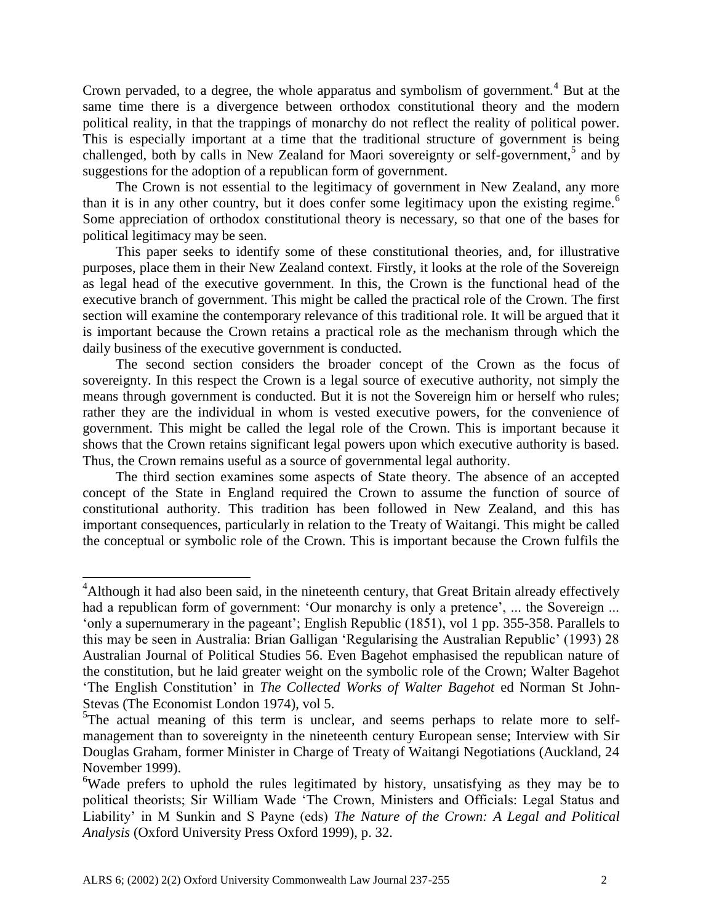Crown pervaded, to a degree, the whole apparatus and symbolism of government.<sup>4</sup> But at the same time there is a divergence between orthodox constitutional theory and the modern political reality, in that the trappings of monarchy do not reflect the reality of political power. This is especially important at a time that the traditional structure of government is being challenged, both by calls in New Zealand for Maori sovereignty or self-government,<sup>5</sup> and by suggestions for the adoption of a republican form of government.

The Crown is not essential to the legitimacy of government in New Zealand, any more than it is in any other country, but it does confer some legitimacy upon the existing regime.<sup>6</sup> Some appreciation of orthodox constitutional theory is necessary, so that one of the bases for political legitimacy may be seen.

This paper seeks to identify some of these constitutional theories, and, for illustrative purposes, place them in their New Zealand context. Firstly, it looks at the role of the Sovereign as legal head of the executive government. In this, the Crown is the functional head of the executive branch of government. This might be called the practical role of the Crown. The first section will examine the contemporary relevance of this traditional role. It will be argued that it is important because the Crown retains a practical role as the mechanism through which the daily business of the executive government is conducted.

The second section considers the broader concept of the Crown as the focus of sovereignty. In this respect the Crown is a legal source of executive authority, not simply the means through government is conducted. But it is not the Sovereign him or herself who rules; rather they are the individual in whom is vested executive powers, for the convenience of government. This might be called the legal role of the Crown. This is important because it shows that the Crown retains significant legal powers upon which executive authority is based. Thus, the Crown remains useful as a source of governmental legal authority.

The third section examines some aspects of State theory. The absence of an accepted concept of the State in England required the Crown to assume the function of source of constitutional authority. This tradition has been followed in New Zealand, and this has important consequences, particularly in relation to the Treaty of Waitangi. This might be called the conceptual or symbolic role of the Crown. This is important because the Crown fulfils the

 $\overline{a}$ 

<sup>&</sup>lt;sup>4</sup>Although it had also been said, in the nineteenth century, that Great Britain already effectively had a republican form of government: 'Our monarchy is only a pretence', ... the Sovereign ... 'only a supernumerary in the pageant'; English Republic (1851), vol 1 pp. 355-358. Parallels to this may be seen in Australia: Brian Galligan 'Regularising the Australian Republic' (1993) 28 Australian Journal of Political Studies 56. Even Bagehot emphasised the republican nature of the constitution, but he laid greater weight on the symbolic role of the Crown; Walter Bagehot 'The English Constitution' in *The Collected Works of Walter Bagehot* ed Norman St John-Stevas (The Economist London 1974), vol 5.

 $5$ The actual meaning of this term is unclear, and seems perhaps to relate more to selfmanagement than to sovereignty in the nineteenth century European sense; Interview with Sir Douglas Graham, former Minister in Charge of Treaty of Waitangi Negotiations (Auckland, 24 November 1999).

<sup>&</sup>lt;sup>6</sup>Wade prefers to uphold the rules legitimated by history, unsatisfying as they may be to political theorists; Sir William Wade 'The Crown, Ministers and Officials: Legal Status and Liability' in M Sunkin and S Payne (eds) *The Nature of the Crown: A Legal and Political Analysis* (Oxford University Press Oxford 1999), p. 32.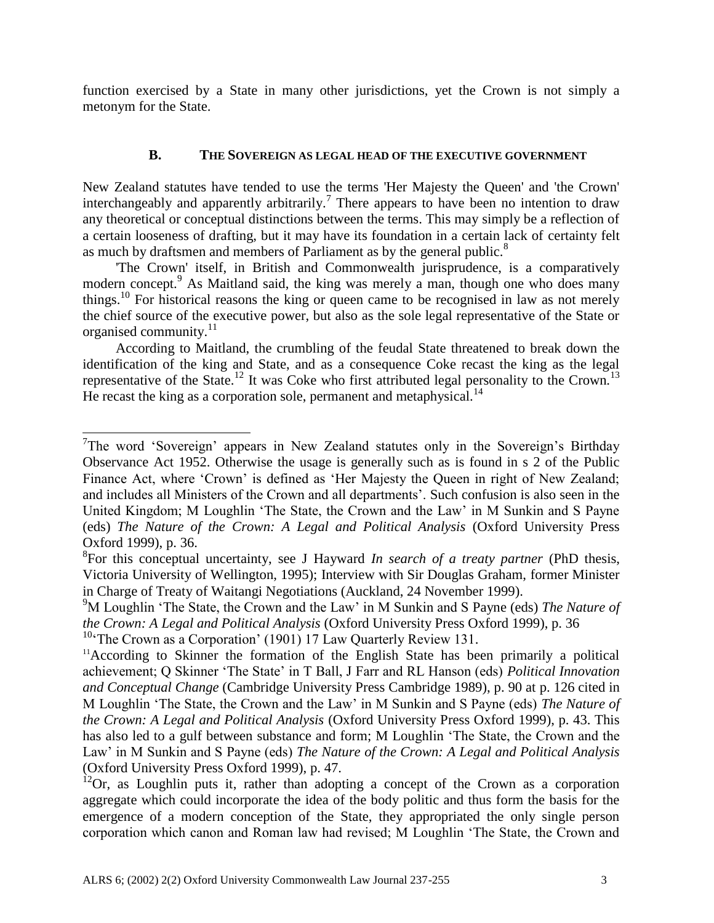function exercised by a State in many other jurisdictions, yet the Crown is not simply a metonym for the State.

## **B. THE SOVEREIGN AS LEGAL HEAD OF THE EXECUTIVE GOVERNMENT**

New Zealand statutes have tended to use the terms 'Her Majesty the Queen' and 'the Crown' interchangeably and apparently arbitrarily.<sup>7</sup> There appears to have been no intention to draw any theoretical or conceptual distinctions between the terms. This may simply be a reflection of a certain looseness of drafting, but it may have its foundation in a certain lack of certainty felt as much by draftsmen and members of Parliament as by the general public.<sup>8</sup>

'The Crown' itself, in British and Commonwealth jurisprudence, is a comparatively modern concept.<sup>9</sup> As Maitland said, the king was merely a man, though one who does many things.<sup>10</sup> For historical reasons the king or queen came to be recognised in law as not merely the chief source of the executive power, but also as the sole legal representative of the State or organised community.<sup>11</sup>

According to Maitland, the crumbling of the feudal State threatened to break down the identification of the king and State, and as a consequence Coke recast the king as the legal representative of the State.<sup>12</sup> It was Coke who first attributed legal personality to the Crown.<sup>13</sup> He recast the king as a corporation sole, permanent and metaphysical. $^{14}$ 

l

<sup>&</sup>lt;sup>7</sup>The word 'Sovereign' appears in New Zealand statutes only in the Sovereign's Birthday Observance Act 1952. Otherwise the usage is generally such as is found in s 2 of the Public Finance Act, where 'Crown' is defined as 'Her Majesty the Queen in right of New Zealand; and includes all Ministers of the Crown and all departments'. Such confusion is also seen in the United Kingdom; M Loughlin 'The State, the Crown and the Law' in M Sunkin and S Payne (eds) *The Nature of the Crown: A Legal and Political Analysis* (Oxford University Press Oxford 1999), p. 36.

<sup>8</sup> For this conceptual uncertainty, see J Hayward *In search of a treaty partner* (PhD thesis, Victoria University of Wellington, 1995); Interview with Sir Douglas Graham, former Minister in Charge of Treaty of Waitangi Negotiations (Auckland, 24 November 1999).

<sup>9</sup>M Loughlin 'The State, the Crown and the Law' in M Sunkin and S Payne (eds) *The Nature of the Crown: A Legal and Political Analysis* (Oxford University Press Oxford 1999), p. 36

<sup>&</sup>lt;sup>10</sup>The Crown as a Corporation' (1901) 17 Law Quarterly Review 131.

<sup>&</sup>lt;sup>11</sup>According to Skinner the formation of the English State has been primarily a political achievement; Q Skinner 'The State' in T Ball, J Farr and RL Hanson (eds) *Political Innovation and Conceptual Change* (Cambridge University Press Cambridge 1989), p. 90 at p. 126 cited in M Loughlin 'The State, the Crown and the Law' in M Sunkin and S Payne (eds) *The Nature of the Crown: A Legal and Political Analysis* (Oxford University Press Oxford 1999), p. 43. This has also led to a gulf between substance and form; M Loughlin 'The State, the Crown and the Law' in M Sunkin and S Payne (eds) *The Nature of the Crown: A Legal and Political Analysis*  (Oxford University Press Oxford 1999), p. 47.

 $12$ Or, as Loughlin puts it, rather than adopting a concept of the Crown as a corporation aggregate which could incorporate the idea of the body politic and thus form the basis for the emergence of a modern conception of the State, they appropriated the only single person corporation which canon and Roman law had revised; M Loughlin 'The State, the Crown and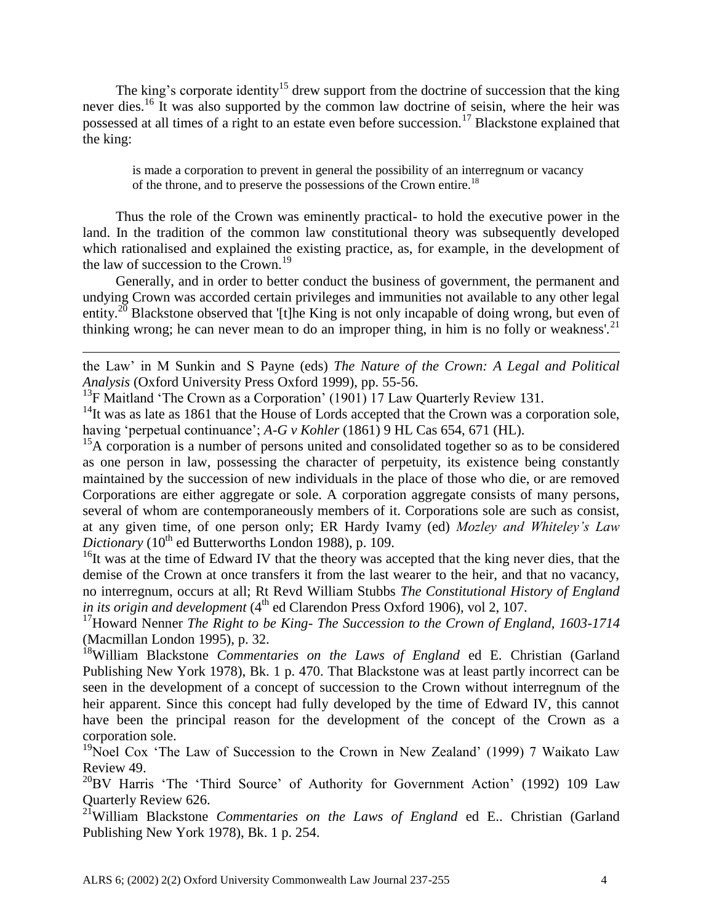The king's corporate identity<sup>15</sup> drew support from the doctrine of succession that the king never dies.<sup>16</sup> It was also supported by the common law doctrine of seisin, where the heir was possessed at all times of a right to an estate even before succession.<sup>17</sup> Blackstone explained that the king:

is made a corporation to prevent in general the possibility of an interregnum or vacancy of the throne, and to preserve the possessions of the Crown entire.<sup>18</sup>

Thus the role of the Crown was eminently practical- to hold the executive power in the land. In the tradition of the common law constitutional theory was subsequently developed which rationalised and explained the existing practice, as, for example, in the development of the law of succession to the Crown.<sup>19</sup>

Generally, and in order to better conduct the business of government, the permanent and undying Crown was accorded certain privileges and immunities not available to any other legal entity.<sup>20</sup> Blackstone observed that '[t]he King is not only incapable of doing wrong, but even of thinking wrong; he can never mean to do an improper thing, in him is no folly or weakness'.<sup>21</sup>

the Law' in M Sunkin and S Payne (eds) *The Nature of the Crown: A Legal and Political Analysis* (Oxford University Press Oxford 1999), pp. 55-56.

<sup>13</sup>F Maitland 'The Crown as a Corporation' (1901) 17 Law Quarterly Review 131.

l

 $14$ It was as late as 1861 that the House of Lords accepted that the Crown was a corporation sole, having 'perpetual continuance'; *A-G v Kohler* (1861) 9 HL Cas 654, 671 (HL).

<sup>15</sup>A corporation is a number of persons united and consolidated together so as to be considered as one person in law, possessing the character of perpetuity, its existence being constantly maintained by the succession of new individuals in the place of those who die, or are removed Corporations are either aggregate or sole. A corporation aggregate consists of many persons, several of whom are contemporaneously members of it. Corporations sole are such as consist, at any given time, of one person only; ER Hardy Ivamy (ed) *Mozley and Whiteley's Law Dictionary* (10<sup>th</sup> ed Butterworths London 1988), p. 109.

<sup>16</sup>It was at the time of Edward IV that the theory was accepted that the king never dies, that the demise of the Crown at once transfers it from the last wearer to the heir, and that no vacancy, no interregnum, occurs at all; Rt Revd William Stubbs *The Constitutional History of England*  in its origin and development (4<sup>th</sup> ed Clarendon Press Oxford 1906), vol 2, 107.

<sup>17</sup>Howard Nenner *The Right to be King- The Succession to the Crown of England, 1603-1714* (Macmillan London 1995), p. 32.

<sup>18</sup>William Blackstone *Commentaries on the Laws of England* ed E. Christian (Garland Publishing New York 1978), Bk. 1 p. 470. That Blackstone was at least partly incorrect can be seen in the development of a concept of succession to the Crown without interregnum of the heir apparent. Since this concept had fully developed by the time of Edward IV, this cannot have been the principal reason for the development of the concept of the Crown as a corporation sole.

<sup>19</sup>Noel Cox 'The Law of Succession to the Crown in New Zealand' (1999) 7 Waikato Law Review 49.

 $^{20}$ BV Harris 'The 'Third Source' of Authority for Government Action' (1992) 109 Law Quarterly Review 626.

<sup>21</sup>William Blackstone *Commentaries on the Laws of England* ed E.. Christian (Garland Publishing New York 1978), Bk. 1 p. 254.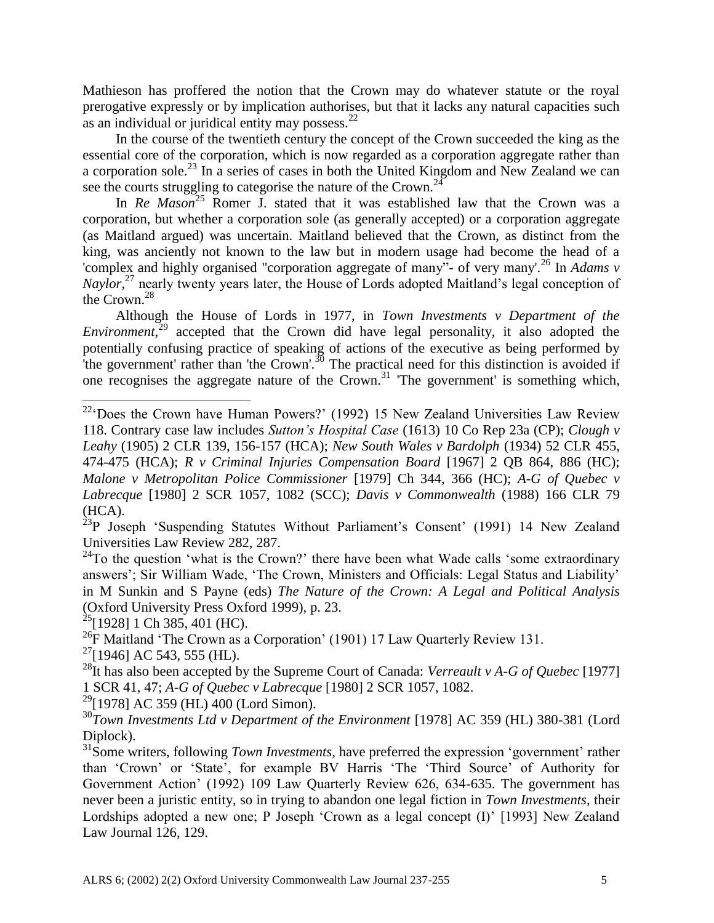Mathieson has proffered the notion that the Crown may do whatever statute or the royal prerogative expressly or by implication authorises, but that it lacks any natural capacities such as an individual or juridical entity may possess.<sup>22</sup>

In the course of the twentieth century the concept of the Crown succeeded the king as the essential core of the corporation, which is now regarded as a corporation aggregate rather than a corporation sole.<sup>23</sup> In a series of cases in both the United Kingdom and New Zealand we can see the courts struggling to categorise the nature of the Crown.<sup>24</sup>

In *Re Mason*<sup>25</sup> Romer J. stated that it was established law that the Crown was a corporation, but whether a corporation sole (as generally accepted) or a corporation aggregate (as Maitland argued) was uncertain. Maitland believed that the Crown, as distinct from the king, was anciently not known to the law but in modern usage had become the head of a 'complex and highly organised "corporation aggregate of many"- of very many'.<sup>26</sup> In *Adams v Naylor*, <sup>27</sup> nearly twenty years later, the House of Lords adopted Maitland's legal conception of the Crown.<sup>28</sup>

Although the House of Lords in 1977, in *Town Investments v Department of the Environment*<sup>29</sup> accepted that the Crown did have legal personality, it also adopted the potentially confusing practice of speaking of actions of the executive as being performed by 'the government' rather than 'the Crown'.<sup>30</sup> The practical need for this distinction is avoided if one recognises the aggregate nature of the Crown.<sup>31</sup> 'The government' is something which,

 $^{23}P$  Joseph 'Suspending Statutes Without Parliament's Consent' (1991) 14 New Zealand Universities Law Review 282, 287.

 $24$ To the question 'what is the Crown?' there have been what Wade calls 'some extraordinary answers'; Sir William Wade, 'The Crown, Ministers and Officials: Legal Status and Liability' in M Sunkin and S Payne (eds) *The Nature of the Crown: A Legal and Political Analysis*  (Oxford University Press Oxford 1999), p. 23.

 $25$ [1928] 1 Ch 385, 401 (HC).

 $\overline{\phantom{a}}$ 

<sup>26</sup>F Maitland 'The Crown as a Corporation' (1901) 17 Law Quarterly Review 131.

 $27$ [1946] AC 543, 555 (HL).

 $^{29}$ [1978] AC 359 (HL) 400 (Lord Simon).

<sup>30</sup>Town Investments Ltd v Department of the Environment [1978] AC 359 (HL) 380-381 (Lord Diplock).

 $22^2$ Boes the Crown have Human Powers?' (1992) 15 New Zealand Universities Law Review 118. Contrary case law includes *Sutton's Hospital Case* (1613) 10 Co Rep 23a (CP); *Clough v Leahy* (1905) 2 CLR 139, 156-157 (HCA); *New South Wales v Bardolph* (1934) 52 CLR 455, 474-475 (HCA); *R v Criminal Injuries Compensation Board* [1967] 2 QB 864, 886 (HC); *Malone v Metropolitan Police Commissioner* [1979] Ch 344, 366 (HC); *A-G of Quebec v Labrecque* [1980] 2 SCR 1057, 1082 (SCC); *Davis v Commonwealth* (1988) 166 CLR 79 (HCA).

<sup>&</sup>lt;sup>28</sup>It has also been accepted by the Supreme Court of Canada: *Verreault v A-G of Quebec* [1977] 1 SCR 41, 47; *A-G of Quebec v Labrecque* [1980] 2 SCR 1057, 1082.

<sup>&</sup>lt;sup>31</sup>Some writers, following *Town Investments*, have preferred the expression 'government' rather than 'Crown' or 'State', for example BV Harris 'The 'Third Source' of Authority for Government Action' (1992) 109 Law Quarterly Review 626, 634-635. The government has never been a juristic entity, so in trying to abandon one legal fiction in *Town Investments*, their Lordships adopted a new one; P Joseph 'Crown as a legal concept (I)' [1993] New Zealand Law Journal 126, 129.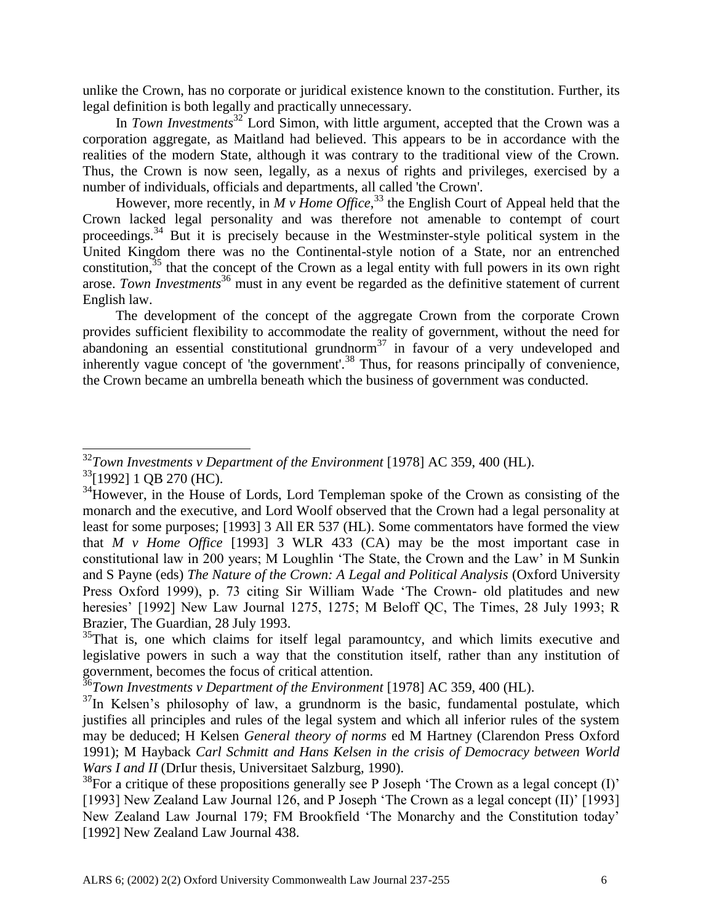unlike the Crown, has no corporate or juridical existence known to the constitution. Further, its legal definition is both legally and practically unnecessary.

In *Town Investments*<sup>32</sup> Lord Simon, with little argument, accepted that the Crown was a corporation aggregate, as Maitland had believed. This appears to be in accordance with the realities of the modern State, although it was contrary to the traditional view of the Crown. Thus, the Crown is now seen, legally, as a nexus of rights and privileges, exercised by a number of individuals, officials and departments, all called 'the Crown'.

However, more recently, in *M v Home Office*<sup>33</sup>, the English Court of Appeal held that the Crown lacked legal personality and was therefore not amenable to contempt of court proceedings.<sup>34</sup> But it is precisely because in the Westminster-style political system in the United Kingdom there was no the Continental-style notion of a State, nor an entrenched constitution,  $35$  that the concept of the Crown as a legal entity with full powers in its own right arose. *Town Investments*<sup>36</sup> must in any event be regarded as the definitive statement of current English law.

The development of the concept of the aggregate Crown from the corporate Crown provides sufficient flexibility to accommodate the reality of government, without the need for abandoning an essential constitutional grundnorm<sup>37</sup> in favour of a very undeveloped and inherently vague concept of 'the government'.<sup>38</sup> Thus, for reasons principally of convenience, the Crown became an umbrella beneath which the business of government was conducted.

 $\overline{a}$ 

<sup>32</sup>*Town Investments v Department of the Environment* [1978] AC 359, 400 (HL).

<sup>&</sup>lt;sup>33</sup>[1992] 1 QB 270 (HC).

<sup>&</sup>lt;sup>34</sup>However, in the House of Lords, Lord Templeman spoke of the Crown as consisting of the monarch and the executive, and Lord Woolf observed that the Crown had a legal personality at least for some purposes; [1993] 3 All ER 537 (HL). Some commentators have formed the view that *M v Home Office* [1993] 3 WLR 433 (CA) may be the most important case in constitutional law in 200 years; M Loughlin 'The State, the Crown and the Law' in M Sunkin and S Payne (eds) *The Nature of the Crown: A Legal and Political Analysis* (Oxford University Press Oxford 1999), p. 73 citing Sir William Wade 'The Crown- old platitudes and new heresies' [1992] New Law Journal 1275, 1275; M Beloff QC, The Times, 28 July 1993; R Brazier, The Guardian, 28 July 1993.

 $35$ That is, one which claims for itself legal paramountcy, and which limits executive and legislative powers in such a way that the constitution itself, rather than any institution of government, becomes the focus of critical attention.

<sup>36</sup>*Town Investments v Department of the Environment* [1978] AC 359, 400 (HL).

 $37$ In Kelsen's philosophy of law, a grundnorm is the basic, fundamental postulate, which justifies all principles and rules of the legal system and which all inferior rules of the system may be deduced; H Kelsen *General theory of norms* ed M Hartney (Clarendon Press Oxford 1991); M Hayback *Carl Schmitt and Hans Kelsen in the crisis of Democracy between World Wars I and II* (DrIur thesis, Universitaet Salzburg, 1990).

 $38$ For a critique of these propositions generally see P Joseph 'The Crown as a legal concept (I)' [1993] New Zealand Law Journal 126, and P Joseph 'The Crown as a legal concept (II)' [1993] New Zealand Law Journal 179; FM Brookfield 'The Monarchy and the Constitution today' [1992] New Zealand Law Journal 438.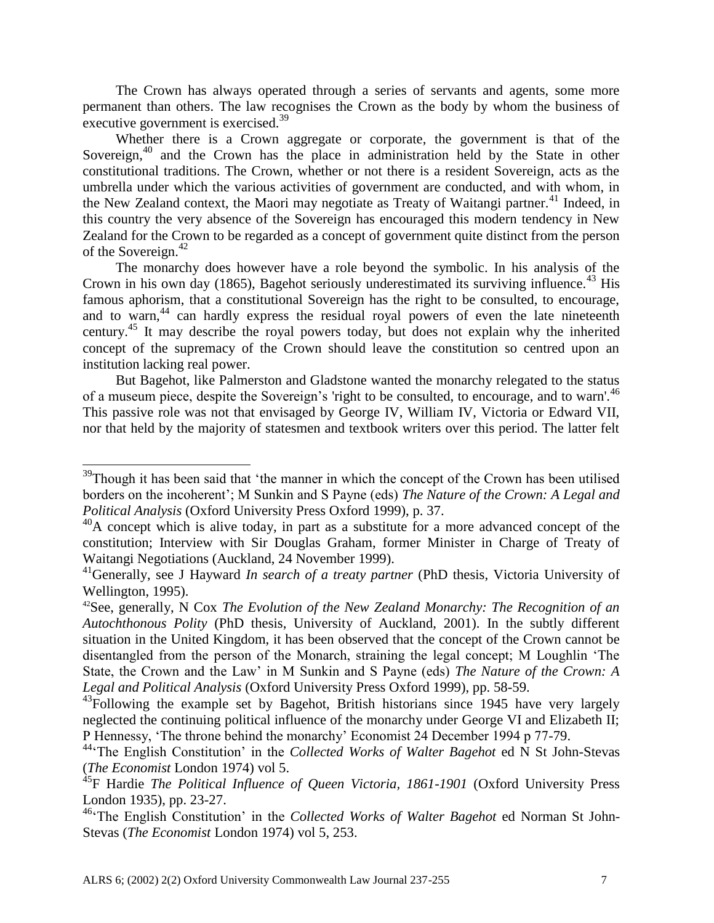The Crown has always operated through a series of servants and agents, some more permanent than others. The law recognises the Crown as the body by whom the business of executive government is exercised.<sup>39</sup>

Whether there is a Crown aggregate or corporate, the government is that of the Sovereign,<sup>40</sup> and the Crown has the place in administration held by the State in other constitutional traditions. The Crown, whether or not there is a resident Sovereign, acts as the umbrella under which the various activities of government are conducted, and with whom, in the New Zealand context, the Maori may negotiate as Treaty of Waitangi partner.<sup>41</sup> Indeed, in this country the very absence of the Sovereign has encouraged this modern tendency in New Zealand for the Crown to be regarded as a concept of government quite distinct from the person of the Sovereign. $42$ 

The monarchy does however have a role beyond the symbolic. In his analysis of the Crown in his own day (1865), Bagehot seriously underestimated its surviving influence.<sup>43</sup> His famous aphorism, that a constitutional Sovereign has the right to be consulted, to encourage, and to warn,<sup>44</sup> can hardly express the residual royal powers of even the late nineteenth century.<sup>45</sup> It may describe the royal powers today, but does not explain why the inherited concept of the supremacy of the Crown should leave the constitution so centred upon an institution lacking real power.

But Bagehot, like Palmerston and Gladstone wanted the monarchy relegated to the status of a museum piece, despite the Sovereign's 'right to be consulted, to encourage, and to warn'.<sup>46</sup> This passive role was not that envisaged by George IV, William IV, Victoria or Edward VII, nor that held by the majority of statesmen and textbook writers over this period. The latter felt

 $39$ Though it has been said that 'the manner in which the concept of the Crown has been utilised borders on the incoherent'; M Sunkin and S Payne (eds) *The Nature of the Crown: A Legal and Political Analysis* (Oxford University Press Oxford 1999), p. 37.

 $^{40}$ A concept which is alive today, in part as a substitute for a more advanced concept of the constitution; Interview with Sir Douglas Graham, former Minister in Charge of Treaty of Waitangi Negotiations (Auckland, 24 November 1999).

<sup>41</sup>Generally, see J Hayward *In search of a treaty partner* (PhD thesis, Victoria University of Wellington, 1995).

<sup>42</sup>See, generally, N Cox *The Evolution of the New Zealand Monarchy: The Recognition of an Autochthonous Polity* (PhD thesis, University of Auckland, 2001). In the subtly different situation in the United Kingdom, it has been observed that the concept of the Crown cannot be disentangled from the person of the Monarch, straining the legal concept; M Loughlin 'The State, the Crown and the Law' in M Sunkin and S Payne (eds) *The Nature of the Crown: A Legal and Political Analysis* (Oxford University Press Oxford 1999), pp. 58-59.

 $^{43}$ Following the example set by Bagehot, British historians since 1945 have very largely neglected the continuing political influence of the monarchy under George VI and Elizabeth II; P Hennessy, 'The throne behind the monarchy' Economist 24 December 1994 p 77-79.

<sup>44</sup>'The English Constitution' in the *Collected Works of Walter Bagehot* ed N St John-Stevas (*The Economist* London 1974) vol 5.

<sup>&</sup>lt;sup>45</sup>F Hardie *The Political Influence of Queen Victoria, 1861-1901* (Oxford University Press London 1935), pp. 23-27.

<sup>46</sup>'The English Constitution' in the *Collected Works of Walter Bagehot* ed Norman St John-Stevas (*The Economist* London 1974) vol 5, 253.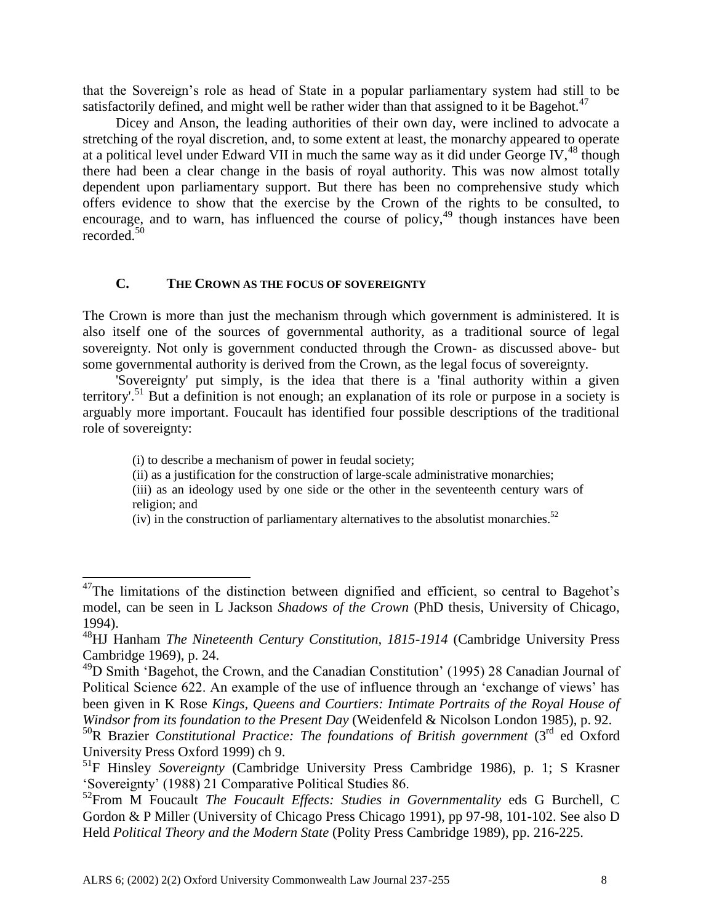that the Sovereign's role as head of State in a popular parliamentary system had still to be satisfactorily defined, and might well be rather wider than that assigned to it be Bagehot.<sup>47</sup>

Dicey and Anson, the leading authorities of their own day, were inclined to advocate a stretching of the royal discretion, and, to some extent at least, the monarchy appeared to operate at a political level under Edward VII in much the same way as it did under George IV,  $^{48}$  though there had been a clear change in the basis of royal authority. This was now almost totally dependent upon parliamentary support. But there has been no comprehensive study which offers evidence to show that the exercise by the Crown of the rights to be consulted, to encourage, and to warn, has influenced the course of policy,  $49$  though instances have been recorded. $50$ 

# **C. THE CROWN AS THE FOCUS OF SOVEREIGNTY**

The Crown is more than just the mechanism through which government is administered. It is also itself one of the sources of governmental authority, as a traditional source of legal sovereignty. Not only is government conducted through the Crown- as discussed above- but some governmental authority is derived from the Crown, as the legal focus of sovereignty.

'Sovereignty' put simply, is the idea that there is a 'final authority within a given territory'.<sup>51</sup> But a definition is not enough; an explanation of its role or purpose in a society is arguably more important. Foucault has identified four possible descriptions of the traditional role of sovereignty:

(i) to describe a mechanism of power in feudal society;

 $\overline{a}$ 

- (ii) as a justification for the construction of large-scale administrative monarchies;
- (iii) as an ideology used by one side or the other in the seventeenth century wars of religion; and

(iv) in the construction of parliamentary alternatives to the absolutist monarchies.<sup>52</sup>

 $47$ The limitations of the distinction between dignified and efficient, so central to Bagehot's model, can be seen in L Jackson *Shadows of the Crown* (PhD thesis, University of Chicago, 1994).

<sup>48</sup>HJ Hanham *The Nineteenth Century Constitution, 1815-1914* (Cambridge University Press Cambridge 1969), p. 24.

<sup>49</sup>D Smith 'Bagehot, the Crown, and the Canadian Constitution' (1995) 28 Canadian Journal of Political Science 622. An example of the use of influence through an 'exchange of views' has been given in K Rose *Kings, Queens and Courtiers: Intimate Portraits of the Royal House of Windsor from its foundation to the Present Day* (Weidenfeld & Nicolson London 1985), p. 92.

<sup>&</sup>lt;sup>50</sup>R Brazier *Constitutional Practice: The foundations of British government* (3<sup>rd</sup> ed Oxford University Press Oxford 1999) ch 9.

<sup>51</sup>F Hinsley *Sovereignty* (Cambridge University Press Cambridge 1986), p. 1; S Krasner 'Sovereignty' (1988) 21 Comparative Political Studies 86.

<sup>52</sup>From M Foucault *The Foucault Effects: Studies in Governmentality* eds G Burchell, C Gordon & P Miller (University of Chicago Press Chicago 1991), pp 97-98, 101-102. See also D Held *Political Theory and the Modern State* (Polity Press Cambridge 1989), pp. 216-225.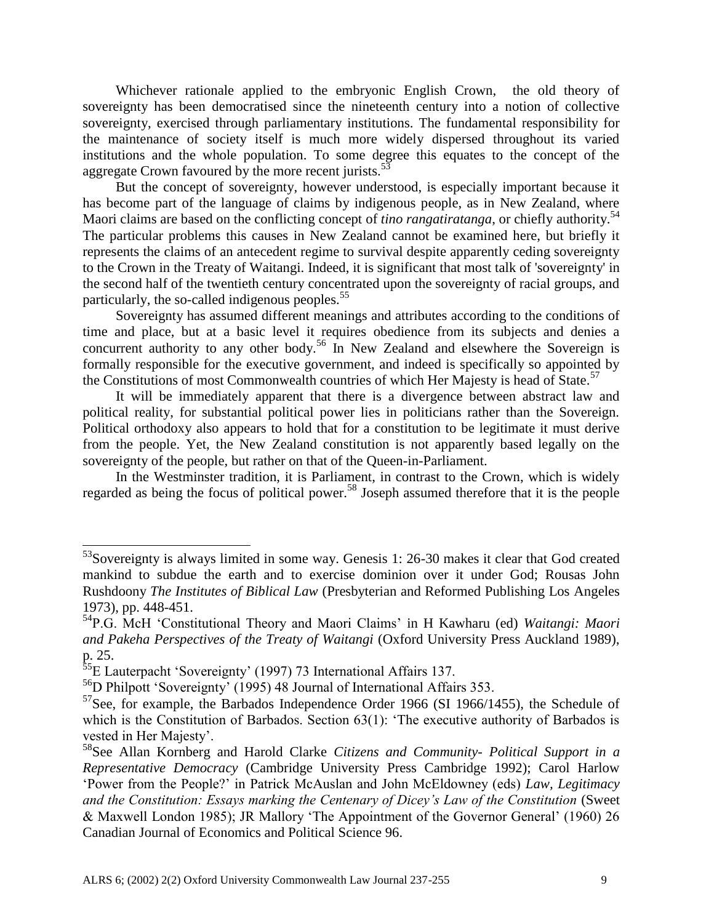Whichever rationale applied to the embryonic English Crown, the old theory of sovereignty has been democratised since the nineteenth century into a notion of collective sovereignty, exercised through parliamentary institutions. The fundamental responsibility for the maintenance of society itself is much more widely dispersed throughout its varied institutions and the whole population. To some degree this equates to the concept of the aggregate Crown favoured by the more recent jurists.<sup>53</sup>

But the concept of sovereignty, however understood, is especially important because it has become part of the language of claims by indigenous people, as in New Zealand, where Maori claims are based on the conflicting concept of *tino rangatiratanga*, or chiefly authority.<sup>54</sup> The particular problems this causes in New Zealand cannot be examined here, but briefly it represents the claims of an antecedent regime to survival despite apparently ceding sovereignty to the Crown in the Treaty of Waitangi. Indeed, it is significant that most talk of 'sovereignty' in the second half of the twentieth century concentrated upon the sovereignty of racial groups, and particularly, the so-called indigenous peoples.<sup>55</sup>

Sovereignty has assumed different meanings and attributes according to the conditions of time and place, but at a basic level it requires obedience from its subjects and denies a concurrent authority to any other body.<sup>56</sup> In New Zealand and elsewhere the Sovereign is formally responsible for the executive government, and indeed is specifically so appointed by the Constitutions of most Commonwealth countries of which Her Majesty is head of State.<sup>57</sup>

It will be immediately apparent that there is a divergence between abstract law and political reality, for substantial political power lies in politicians rather than the Sovereign. Political orthodoxy also appears to hold that for a constitution to be legitimate it must derive from the people. Yet, the New Zealand constitution is not apparently based legally on the sovereignty of the people, but rather on that of the Queen-in-Parliament.

In the Westminster tradition, it is Parliament, in contrast to the Crown, which is widely regarded as being the focus of political power.<sup>58</sup> Joseph assumed therefore that it is the people

 $53$ Sovereignty is always limited in some way. Genesis 1: 26-30 makes it clear that God created mankind to subdue the earth and to exercise dominion over it under God; Rousas John Rushdoony *The Institutes of Biblical Law* (Presbyterian and Reformed Publishing Los Angeles 1973), pp. 448-451.

<sup>54</sup>P.G. McH 'Constitutional Theory and Maori Claims' in H Kawharu (ed) *Waitangi: Maori and Pakeha Perspectives of the Treaty of Waitangi* (Oxford University Press Auckland 1989), p. 25.

<sup>&</sup>lt;sup>55</sup>E Lauterpacht 'Sovereignty' (1997) 73 International Affairs 137.

<sup>56</sup>D Philpott 'Sovereignty' (1995) 48 Journal of International Affairs 353.

 $57$ See, for example, the Barbados Independence Order 1966 (SI 1966/1455), the Schedule of which is the Constitution of Barbados. Section 63(1): 'The executive authority of Barbados is vested in Her Majesty'.

<sup>58</sup>See Allan Kornberg and Harold Clarke *Citizens and Community- Political Support in a Representative Democracy* (Cambridge University Press Cambridge 1992); Carol Harlow 'Power from the People?' in Patrick McAuslan and John McEldowney (eds) *Law, Legitimacy and the Constitution: Essays marking the Centenary of Dicey's Law of the Constitution* (Sweet & Maxwell London 1985); JR Mallory 'The Appointment of the Governor General' (1960) 26 Canadian Journal of Economics and Political Science 96.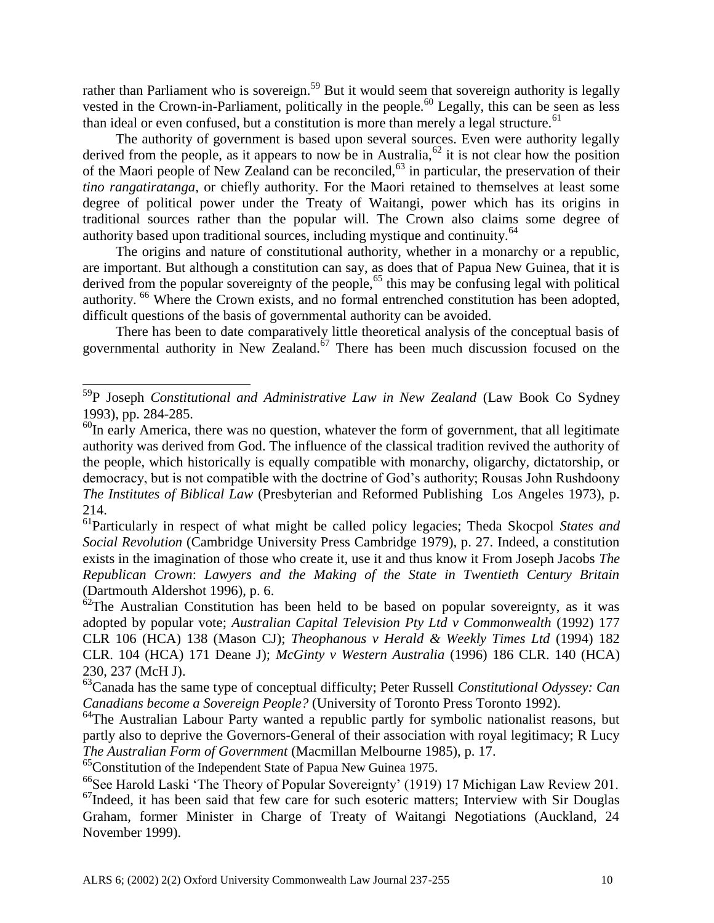rather than Parliament who is sovereign.<sup>59</sup> But it would seem that sovereign authority is legally vested in the Crown-in-Parliament, politically in the people.<sup>60</sup> Legally, this can be seen as less than ideal or even confused, but a constitution is more than merely a legal structure.<sup>61</sup>

The authority of government is based upon several sources. Even were authority legally derived from the people, as it appears to now be in Australia,  $62$  it is not clear how the position of the Maori people of New Zealand can be reconciled,<sup>63</sup> in particular, the preservation of their *tino rangatiratanga*, or chiefly authority. For the Maori retained to themselves at least some degree of political power under the Treaty of Waitangi, power which has its origins in traditional sources rather than the popular will. The Crown also claims some degree of authority based upon traditional sources, including mystique and continuity.<sup>64</sup>

The origins and nature of constitutional authority, whether in a monarchy or a republic, are important. But although a constitution can say, as does that of Papua New Guinea, that it is derived from the popular sovereignty of the people,<sup>65</sup> this may be confusing legal with political authority. <sup>66</sup> Where the Crown exists, and no formal entrenched constitution has been adopted, difficult questions of the basis of governmental authority can be avoided.

There has been to date comparatively little theoretical analysis of the conceptual basis of governmental authority in New Zealand. $67$  There has been much discussion focused on the

<sup>59</sup>P Joseph *Constitutional and Administrative Law in New Zealand* (Law Book Co Sydney 1993), pp. 284-285.

 $^{60}$ In early America, there was no question, whatever the form of government, that all legitimate authority was derived from God. The influence of the classical tradition revived the authority of the people, which historically is equally compatible with monarchy, oligarchy, dictatorship, or democracy, but is not compatible with the doctrine of God's authority; Rousas John Rushdoony *The Institutes of Biblical Law* (Presbyterian and Reformed Publishing Los Angeles 1973), p. 214.

<sup>61</sup>Particularly in respect of what might be called policy legacies; Theda Skocpol *States and Social Revolution* (Cambridge University Press Cambridge 1979), p. 27. Indeed, a constitution exists in the imagination of those who create it, use it and thus know it From Joseph Jacobs *The Republican Crown*: *Lawyers and the Making of the State in Twentieth Century Britain*  (Dartmouth Aldershot 1996), p. 6.

 $62$ The Australian Constitution has been held to be based on popular sovereignty, as it was adopted by popular vote; *Australian Capital Television Pty Ltd v Commonwealth* (1992) 177 CLR 106 (HCA) 138 (Mason CJ); *Theophanous v Herald & Weekly Times Ltd* (1994) 182 CLR. 104 (HCA) 171 Deane J); *McGinty v Western Australia* (1996) 186 CLR. 140 (HCA) 230, 237 (McH J).

<sup>63</sup>Canada has the same type of conceptual difficulty; Peter Russell *Constitutional Odyssey: Can Canadians become a Sovereign People?* (University of Toronto Press Toronto 1992).

 $64$ The Australian Labour Party wanted a republic partly for symbolic nationalist reasons, but partly also to deprive the Governors-General of their association with royal legitimacy; R Lucy *The Australian Form of Government* (Macmillan Melbourne 1985), p. 17.

 ${}^{65}$ Constitution of the Independent State of Papua New Guinea 1975.

<sup>&</sup>lt;sup>66</sup>See Harold Laski 'The Theory of Popular Sovereignty' (1919) 17 Michigan Law Review 201. <sup>67</sup>Indeed, it has been said that few care for such esoteric matters; Interview with Sir Douglas Graham, former Minister in Charge of Treaty of Waitangi Negotiations (Auckland, 24 November 1999).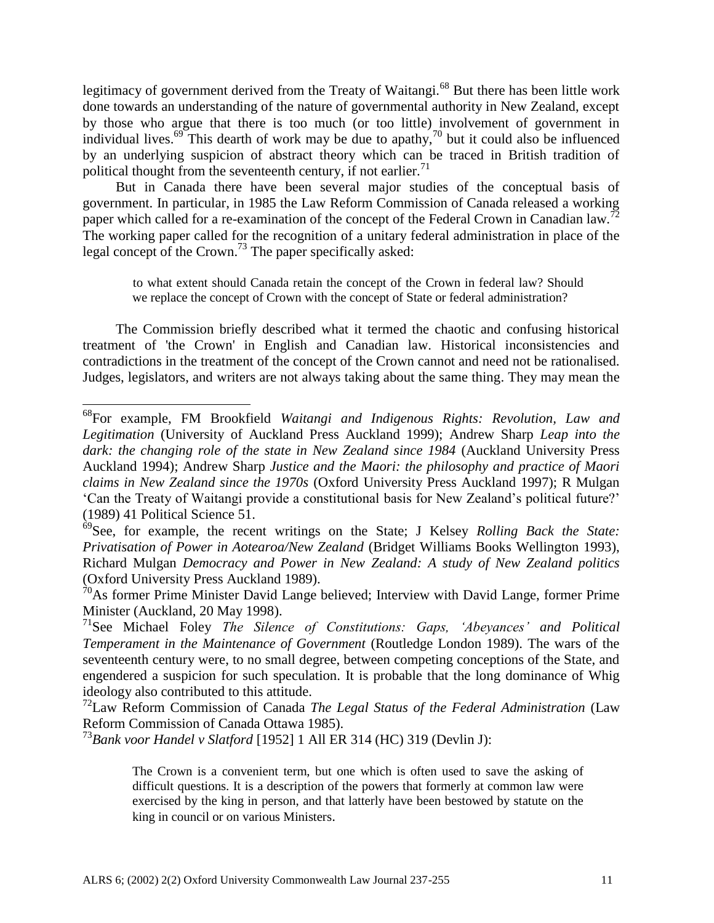legitimacy of government derived from the Treaty of Waitangi.<sup>68</sup> But there has been little work done towards an understanding of the nature of governmental authority in New Zealand, except by those who argue that there is too much (or too little) involvement of government in individual lives.<sup>69</sup> This dearth of work may be due to apathy,<sup>70</sup> but it could also be influenced by an underlying suspicion of abstract theory which can be traced in British tradition of political thought from the seventeenth century, if not earlier.<sup>71</sup>

But in Canada there have been several major studies of the conceptual basis of government. In particular, in 1985 the Law Reform Commission of Canada released a working paper which called for a re-examination of the concept of the Federal Crown in Canadian law.<sup>72</sup> The working paper called for the recognition of a unitary federal administration in place of the legal concept of the Crown.<sup>73</sup> The paper specifically asked:

to what extent should Canada retain the concept of the Crown in federal law? Should we replace the concept of Crown with the concept of State or federal administration?

The Commission briefly described what it termed the chaotic and confusing historical treatment of 'the Crown' in English and Canadian law. Historical inconsistencies and contradictions in the treatment of the concept of the Crown cannot and need not be rationalised. Judges, legislators, and writers are not always taking about the same thing. They may mean the

<sup>72</sup>Law Reform Commission of Canada *The Legal Status of the Federal Administration* (Law Reform Commission of Canada Ottawa 1985).

<sup>73</sup>*Bank voor Handel v Slatford* [1952] 1 All ER 314 (HC) 319 (Devlin J):

<sup>68</sup>For example, FM Brookfield *Waitangi and Indigenous Rights: Revolution, Law and Legitimation* (University of Auckland Press Auckland 1999); Andrew Sharp *Leap into the*  dark: the changing role of the state in New Zealand since 1984 (Auckland University Press Auckland 1994); Andrew Sharp *Justice and the Maori: the philosophy and practice of Maori claims in New Zealand since the 1970s* (Oxford University Press Auckland 1997); R Mulgan 'Can the Treaty of Waitangi provide a constitutional basis for New Zealand's political future?' (1989) 41 Political Science 51.

<sup>69</sup>See, for example, the recent writings on the State; J Kelsey *Rolling Back the State: Privatisation of Power in Aotearoa/New Zealand* (Bridget Williams Books Wellington 1993), Richard Mulgan *Democracy and Power in New Zealand: A study of New Zealand politics*  (Oxford University Press Auckland 1989).

 $\hat{70}$ As former Prime Minister David Lange believed; Interview with David Lange, former Prime Minister (Auckland, 20 May 1998).

<sup>71</sup>See Michael Foley *The Silence of Constitutions: Gaps, 'Abeyances' and Political Temperament in the Maintenance of Government* (Routledge London 1989). The wars of the seventeenth century were, to no small degree, between competing conceptions of the State, and engendered a suspicion for such speculation. It is probable that the long dominance of Whig ideology also contributed to this attitude.

The Crown is a convenient term, but one which is often used to save the asking of difficult questions. It is a description of the powers that formerly at common law were exercised by the king in person, and that latterly have been bestowed by statute on the king in council or on various Ministers.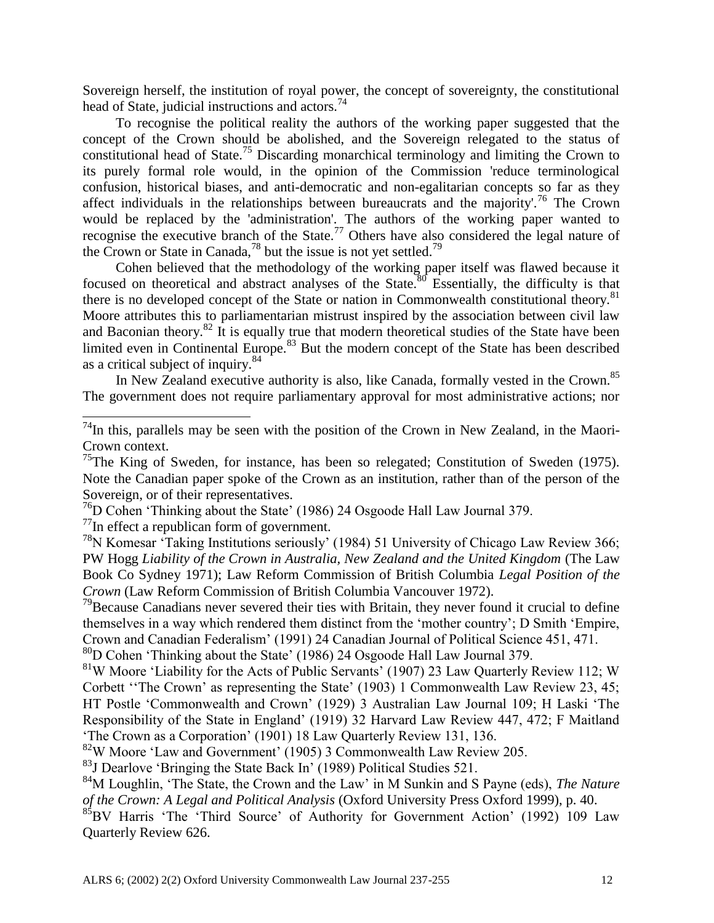Sovereign herself, the institution of royal power, the concept of sovereignty, the constitutional head of State, judicial instructions and actors.<sup>74</sup>

To recognise the political reality the authors of the working paper suggested that the concept of the Crown should be abolished, and the Sovereign relegated to the status of constitutional head of State.<sup>75</sup> Discarding monarchical terminology and limiting the Crown to its purely formal role would, in the opinion of the Commission 'reduce terminological confusion, historical biases, and anti-democratic and non-egalitarian concepts so far as they affect individuals in the relationships between bureaucrats and the majority'.<sup>76</sup> The Crown would be replaced by the 'administration'. The authors of the working paper wanted to recognise the executive branch of the State.<sup>77</sup> Others have also considered the legal nature of the Crown or State in Canada,<sup>78</sup> but the issue is not yet settled.<sup>79</sup>

Cohen believed that the methodology of the working paper itself was flawed because it focused on theoretical and abstract analyses of the State.<sup>80</sup> Essentially, the difficulty is that there is no developed concept of the State or nation in Commonwealth constitutional theory.<sup>81</sup> Moore attributes this to parliamentarian mistrust inspired by the association between civil law and Baconian theory.<sup>82</sup> It is equally true that modern theoretical studies of the State have been limited even in Continental Europe. $83$  But the modern concept of the State has been described as a critical subject of inquiry.<sup>84</sup>

In New Zealand executive authority is also, like Canada, formally vested in the Crown.<sup>85</sup> The government does not require parliamentary approval for most administrative actions; nor

 $^{77}$ In effect a republican form of government.

l

<sup>78</sup>N Komesar 'Taking Institutions seriously' (1984) 51 University of Chicago Law Review 366; PW Hogg *Liability of the Crown in Australia, New Zealand and the United Kingdom* (The Law Book Co Sydney 1971); Law Reform Commission of British Columbia *Legal Position of the Crown* (Law Reform Commission of British Columbia Vancouver 1972).

 $79$ Because Canadians never severed their ties with Britain, they never found it crucial to define themselves in a way which rendered them distinct from the 'mother country'; D Smith 'Empire, Crown and Canadian Federalism' (1991) 24 Canadian Journal of Political Science 451, 471.

<sup>81</sup>W Moore 'Liability for the Acts of Public Servants' (1907) 23 Law Quarterly Review 112; W Corbett ''The Crown' as representing the State' (1903) 1 Commonwealth Law Review 23, 45; HT Postle 'Commonwealth and Crown' (1929) 3 Australian Law Journal 109; H Laski 'The Responsibility of the State in England' (1919) 32 Harvard Law Review 447, 472; F Maitland 'The Crown as a Corporation' (1901) 18 Law Quarterly Review 131, 136.

<sup>82</sup>W Moore 'Law and Government' (1905) 3 Commonwealth Law Review 205.

 $83$  Dearlove 'Bringing the State Back In' (1989) Political Studies 521.

<sup>84</sup>M Loughlin, 'The State, the Crown and the Law' in M Sunkin and S Payne (eds), *The Nature of the Crown: A Legal and Political Analysis* (Oxford University Press Oxford 1999), p. 40.

<sup>85</sup>BV Harris 'The 'Third Source' of Authority for Government Action' (1992) 109 Law Quarterly Review 626.

 $^{74}$ In this, parallels may be seen with the position of the Crown in New Zealand, in the Maori-Crown context.

<sup>&</sup>lt;sup>75</sup>The King of Sweden, for instance, has been so relegated; Constitution of Sweden (1975). Note the Canadian paper spoke of the Crown as an institution, rather than of the person of the Sovereign, or of their representatives.

<sup>76</sup>D Cohen 'Thinking about the State' (1986) 24 Osgoode Hall Law Journal 379.

<sup>80</sup>D Cohen 'Thinking about the State' (1986) 24 Osgoode Hall Law Journal 379.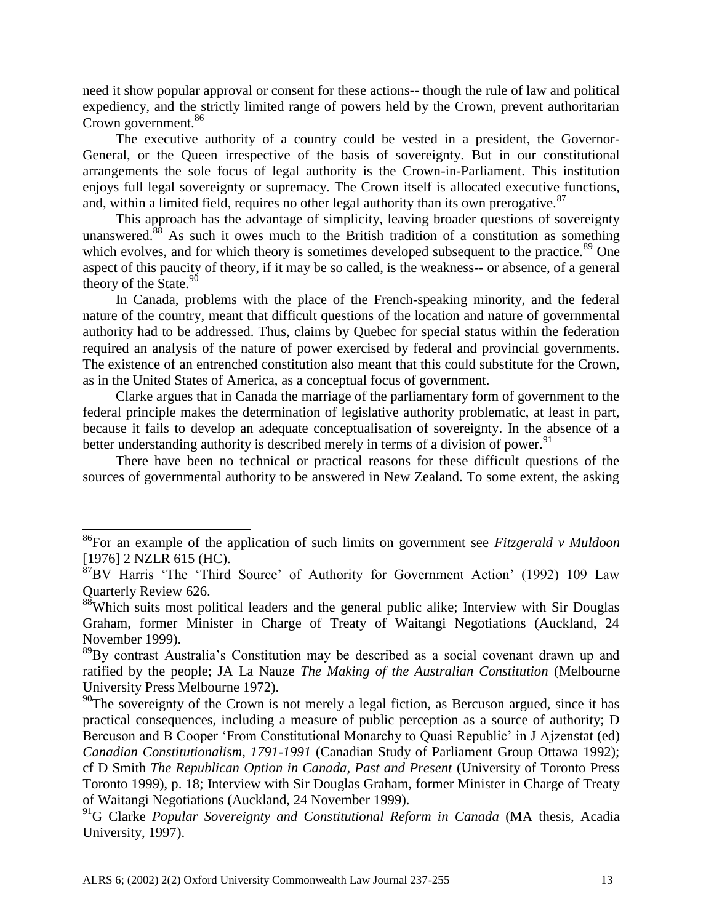need it show popular approval or consent for these actions-- though the rule of law and political expediency, and the strictly limited range of powers held by the Crown, prevent authoritarian Crown government.<sup>86</sup>

The executive authority of a country could be vested in a president, the Governor-General, or the Queen irrespective of the basis of sovereignty. But in our constitutional arrangements the sole focus of legal authority is the Crown-in-Parliament. This institution enjoys full legal sovereignty or supremacy. The Crown itself is allocated executive functions, and, within a limited field, requires no other legal authority than its own prerogative.<sup>87</sup>

This approach has the advantage of simplicity, leaving broader questions of sovereignty unanswered.<sup>88</sup> As such it owes much to the British tradition of a constitution as something which evolves, and for which theory is sometimes developed subsequent to the practice.<sup>89</sup> One aspect of this paucity of theory, if it may be so called, is the weakness-- or absence, of a general theory of the State. $90$ 

In Canada, problems with the place of the French-speaking minority, and the federal nature of the country, meant that difficult questions of the location and nature of governmental authority had to be addressed. Thus, claims by Quebec for special status within the federation required an analysis of the nature of power exercised by federal and provincial governments. The existence of an entrenched constitution also meant that this could substitute for the Crown, as in the United States of America, as a conceptual focus of government.

Clarke argues that in Canada the marriage of the parliamentary form of government to the federal principle makes the determination of legislative authority problematic, at least in part, because it fails to develop an adequate conceptualisation of sovereignty. In the absence of a better understanding authority is described merely in terms of a division of power.<sup>91</sup>

There have been no technical or practical reasons for these difficult questions of the sources of governmental authority to be answered in New Zealand. To some extent, the asking

 $\overline{a}$ 

<sup>86</sup>For an example of the application of such limits on government see *Fitzgerald v Muldoon*  [1976] 2 NZLR 615 (HC).

<sup>87</sup>BV Harris 'The 'Third Source' of Authority for Government Action' (1992) 109 Law Quarterly Review 626.

 $88$ Which suits most political leaders and the general public alike; Interview with Sir Douglas Graham, former Minister in Charge of Treaty of Waitangi Negotiations (Auckland, 24 November 1999).

<sup>&</sup>lt;sup>89</sup>By contrast Australia's Constitution may be described as a social covenant drawn up and ratified by the people; JA La Nauze *The Making of the Australian Constitution* (Melbourne University Press Melbourne 1972).

 $^{90}$ The sovereignty of the Crown is not merely a legal fiction, as Bercuson argued, since it has practical consequences, including a measure of public perception as a source of authority; D Bercuson and B Cooper 'From Constitutional Monarchy to Quasi Republic' in J Ajzenstat (ed) *Canadian Constitutionalism, 1791-1991* (Canadian Study of Parliament Group Ottawa 1992); cf D Smith *The Republican Option in Canada, Past and Present* (University of Toronto Press Toronto 1999), p. 18; Interview with Sir Douglas Graham, former Minister in Charge of Treaty of Waitangi Negotiations (Auckland, 24 November 1999).

<sup>91</sup>G Clarke *Popular Sovereignty and Constitutional Reform in Canada* (MA thesis, Acadia University, 1997).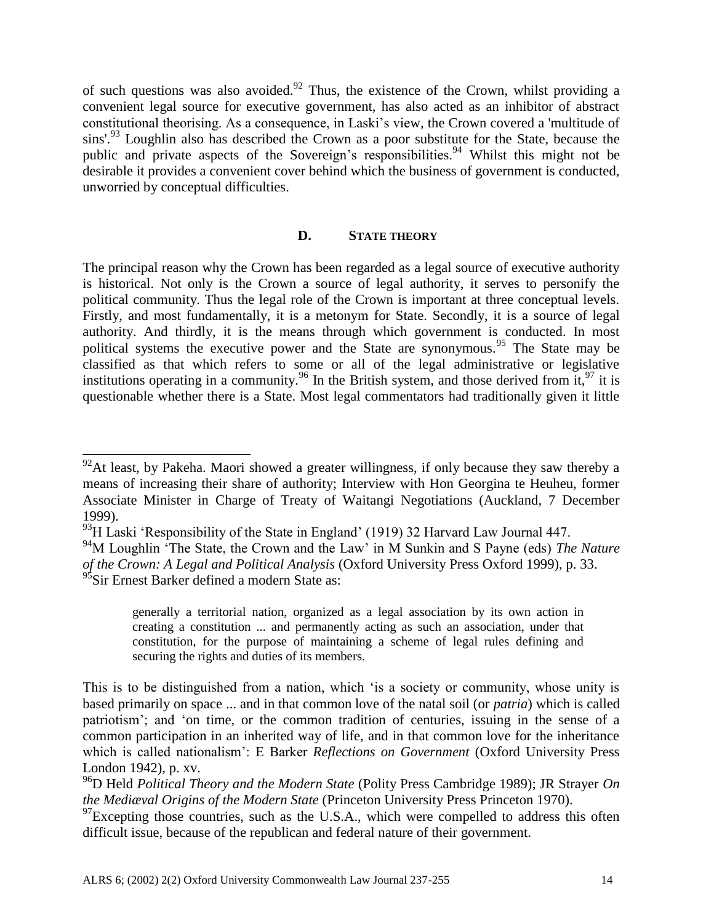of such questions was also avoided. $92$  Thus, the existence of the Crown, whilst providing a convenient legal source for executive government, has also acted as an inhibitor of abstract constitutional theorising. As a consequence, in Laski's view, the Crown covered a 'multitude of sins'.<sup>93</sup> Loughlin also has described the Crown as a poor substitute for the State, because the public and private aspects of the Sovereign's responsibilities.<sup>94</sup> Whilst this might not be desirable it provides a convenient cover behind which the business of government is conducted, unworried by conceptual difficulties.

### **D. STATE THEORY**

The principal reason why the Crown has been regarded as a legal source of executive authority is historical. Not only is the Crown a source of legal authority, it serves to personify the political community. Thus the legal role of the Crown is important at three conceptual levels. Firstly, and most fundamentally, it is a metonym for State. Secondly, it is a source of legal authority. And thirdly, it is the means through which government is conducted. In most political systems the executive power and the State are synonymous.<sup>95</sup> The State may be classified as that which refers to some or all of the legal administrative or legislative institutions operating in a community.<sup>96</sup> In the British system, and those derived from it, <sup>97</sup> it is questionable whether there is a State. Most legal commentators had traditionally given it little

 $\overline{a}$ 

 $92$ At least, by Pakeha. Maori showed a greater willingness, if only because they saw thereby a means of increasing their share of authority; Interview with Hon Georgina te Heuheu, former Associate Minister in Charge of Treaty of Waitangi Negotiations (Auckland, 7 December 1999).

 $93$ H Laski 'Responsibility of the State in England' (1919) 32 Harvard Law Journal 447.

<sup>94</sup>M Loughlin 'The State, the Crown and the Law' in M Sunkin and S Payne (eds) *The Nature of the Crown: A Legal and Political Analysis* (Oxford University Press Oxford 1999), p. 33.  $^{95}$ Sir Ernest Barker defined a modern State as:

generally a territorial nation, organized as a legal association by its own action in creating a constitution ... and permanently acting as such an association, under that constitution, for the purpose of maintaining a scheme of legal rules defining and securing the rights and duties of its members.

This is to be distinguished from a nation, which 'is a society or community, whose unity is based primarily on space ... and in that common love of the natal soil (or *patria*) which is called patriotism'; and 'on time, or the common tradition of centuries, issuing in the sense of a common participation in an inherited way of life, and in that common love for the inheritance which is called nationalism': E Barker *Reflections on Government* (Oxford University Press London 1942), p. xv.

<sup>96</sup>D Held *Political Theory and the Modern State* (Polity Press Cambridge 1989); JR Strayer *On the Mediæval Origins of the Modern State* (Princeton University Press Princeton 1970).

 $^{97}$ Excepting those countries, such as the U.S.A., which were compelled to address this often difficult issue, because of the republican and federal nature of their government.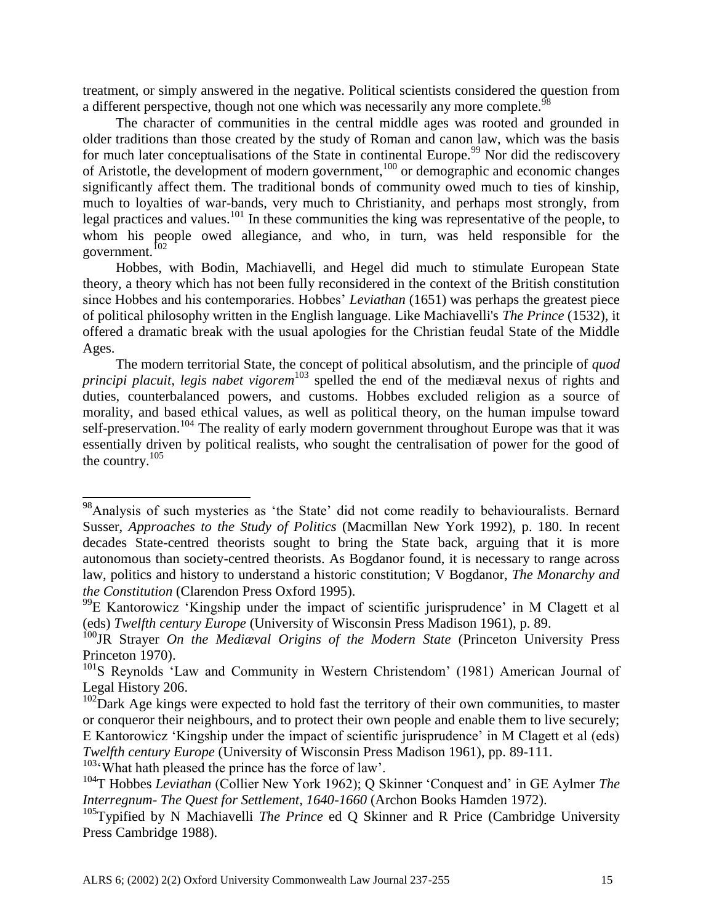treatment, or simply answered in the negative. Political scientists considered the question from a different perspective, though not one which was necessarily any more complete.<sup>98</sup>

The character of communities in the central middle ages was rooted and grounded in older traditions than those created by the study of Roman and canon law, which was the basis for much later conceptualisations of the State in continental Europe.<sup>99</sup> Nor did the rediscovery of Aristotle, the development of modern government,<sup>100</sup> or demographic and economic changes significantly affect them. The traditional bonds of community owed much to ties of kinship, much to loyalties of war-bands, very much to Christianity, and perhaps most strongly, from legal practices and values.<sup>101</sup> In these communities the king was representative of the people, to whom his people owed allegiance, and who, in turn, was held responsible for the government.<sup>102</sup>

Hobbes, with Bodin, Machiavelli, and Hegel did much to stimulate European State theory, a theory which has not been fully reconsidered in the context of the British constitution since Hobbes and his contemporaries. Hobbes' *Leviathan* (1651) was perhaps the greatest piece of political philosophy written in the English language. Like Machiavelli's *The Prince* (1532), it offered a dramatic break with the usual apologies for the Christian feudal State of the Middle Ages.

The modern territorial State, the concept of political absolutism, and the principle of *quod principi placuit, legis nabet vigorem*<sup>103</sup> spelled the end of the mediæval nexus of rights and duties, counterbalanced powers, and customs. Hobbes excluded religion as a source of morality, and based ethical values, as well as political theory, on the human impulse toward self-preservation.<sup>104</sup> The reality of early modern government throughout Europe was that it was essentially driven by political realists, who sought the centralisation of power for the good of the country. $105$ 

l

<sup>&</sup>lt;sup>98</sup>Analysis of such mysteries as 'the State' did not come readily to behaviouralists. Bernard Susser, *Approaches to the Study of Politics* (Macmillan New York 1992), p. 180. In recent decades State-centred theorists sought to bring the State back, arguing that it is more autonomous than society-centred theorists. As Bogdanor found, it is necessary to range across law, politics and history to understand a historic constitution; V Bogdanor, *The Monarchy and the Constitution* (Clarendon Press Oxford 1995).

<sup>&</sup>lt;sup>99</sup>E Kantorowicz 'Kingship under the impact of scientific jurisprudence' in M Clagett et al (eds) *Twelfth century Europe* (University of Wisconsin Press Madison 1961), p. 89.

<sup>100</sup>JR Strayer *On the Mediæval Origins of the Modern State* (Princeton University Press Princeton 1970).

<sup>&</sup>lt;sup>101</sup>S Reynolds 'Law and Community in Western Christendom' (1981) American Journal of Legal History 206.

 $102$ Dark Age kings were expected to hold fast the territory of their own communities, to master or conqueror their neighbours, and to protect their own people and enable them to live securely; E Kantorowicz 'Kingship under the impact of scientific jurisprudence' in M Clagett et al (eds) *Twelfth century Europe* (University of Wisconsin Press Madison 1961), pp. 89-111.  $103$ <sup>c</sup>What hath pleased the prince has the force of law'.

<sup>104</sup>T Hobbes *Leviathan* (Collier New York 1962); Q Skinner 'Conquest and' in GE Aylmer *The Interregnum- The Quest for Settlement, 1640-1660* (Archon Books Hamden 1972).

<sup>&</sup>lt;sup>105</sup>Typified by N Machiavelli *The Prince* ed Q Skinner and R Price (Cambridge University Press Cambridge 1988).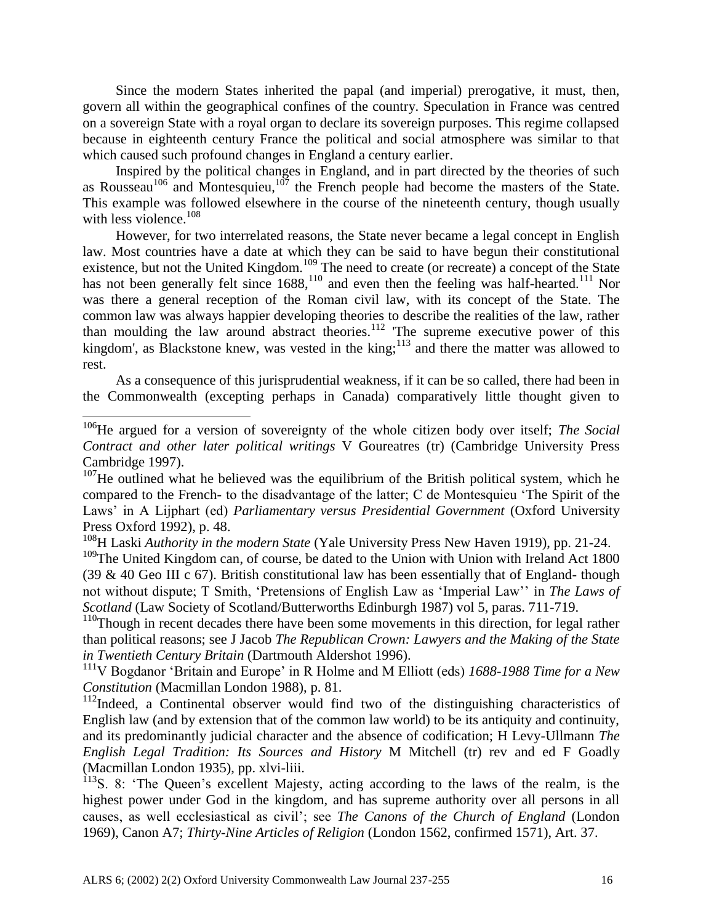Since the modern States inherited the papal (and imperial) prerogative, it must, then, govern all within the geographical confines of the country. Speculation in France was centred on a sovereign State with a royal organ to declare its sovereign purposes. This regime collapsed because in eighteenth century France the political and social atmosphere was similar to that which caused such profound changes in England a century earlier.

Inspired by the political changes in England, and in part directed by the theories of such as Rousseau<sup>106</sup> and Montesquieu,<sup>107</sup> the French people had become the masters of the State. This example was followed elsewhere in the course of the nineteenth century, though usually with less violence.<sup>108</sup>

However, for two interrelated reasons, the State never became a legal concept in English law. Most countries have a date at which they can be said to have begun their constitutional existence, but not the United Kingdom.<sup>109</sup> The need to create (or recreate) a concept of the State has not been generally felt since  $1688$ ,  $^{110}$  and even then the feeling was half-hearted.<sup>111</sup> Nor was there a general reception of the Roman civil law, with its concept of the State. The common law was always happier developing theories to describe the realities of the law, rather than moulding the law around abstract theories.<sup>112</sup> The supreme executive power of this kingdom', as Blackstone knew, was vested in the king;<sup>113</sup> and there the matter was allowed to rest.

As a consequence of this jurisprudential weakness, if it can be so called, there had been in the Commonwealth (excepting perhaps in Canada) comparatively little thought given to

l

<sup>108</sup>H Laski *Authority in the modern State* (Yale University Press New Haven 1919), pp. 21-24.

<sup>109</sup>The United Kingdom can, of course, be dated to the Union with Union with Ireland Act 1800 (39 & 40 Geo III c 67). British constitutional law has been essentially that of England- though not without dispute; T Smith, 'Pretensions of English Law as 'Imperial Law'' in *The Laws of Scotland* (Law Society of Scotland/Butterworths Edinburgh 1987) vol 5, paras. 711-719.

<sup>110</sup>Though in recent decades there have been some movements in this direction, for legal rather than political reasons; see J Jacob *The Republican Crown: Lawyers and the Making of the State in Twentieth Century Britain* (Dartmouth Aldershot 1996).

<sup>111</sup>V Bogdanor 'Britain and Europe' in R Holme and M Elliott (eds) *1688-1988 Time for a New Constitution* (Macmillan London 1988), p. 81.

<sup>112</sup>Indeed, a Continental observer would find two of the distinguishing characteristics of English law (and by extension that of the common law world) to be its antiquity and continuity, and its predominantly judicial character and the absence of codification; H Levy-Ullmann *The English Legal Tradition: Its Sources and History* M Mitchell (tr) rev and ed F Goadly (Macmillan London 1935), pp. xlvi-liii.

<sup>113</sup>S. 8: 'The Queen's excellent Majesty, acting according to the laws of the realm, is the highest power under God in the kingdom, and has supreme authority over all persons in all causes, as well ecclesiastical as civil'; see *The Canons of the Church of England* (London 1969), Canon A7; *Thirty-Nine Articles of Religion* (London 1562, confirmed 1571), Art. 37.

<sup>106</sup>He argued for a version of sovereignty of the whole citizen body over itself; *The Social Contract and other later political writings* V Goureatres (tr) (Cambridge University Press Cambridge 1997).

 $107$ He outlined what he believed was the equilibrium of the British political system, which he compared to the French- to the disadvantage of the latter; C de Montesquieu 'The Spirit of the Laws' in A Lijphart (ed) *Parliamentary versus Presidential Government* (Oxford University Press Oxford 1992), p. 48.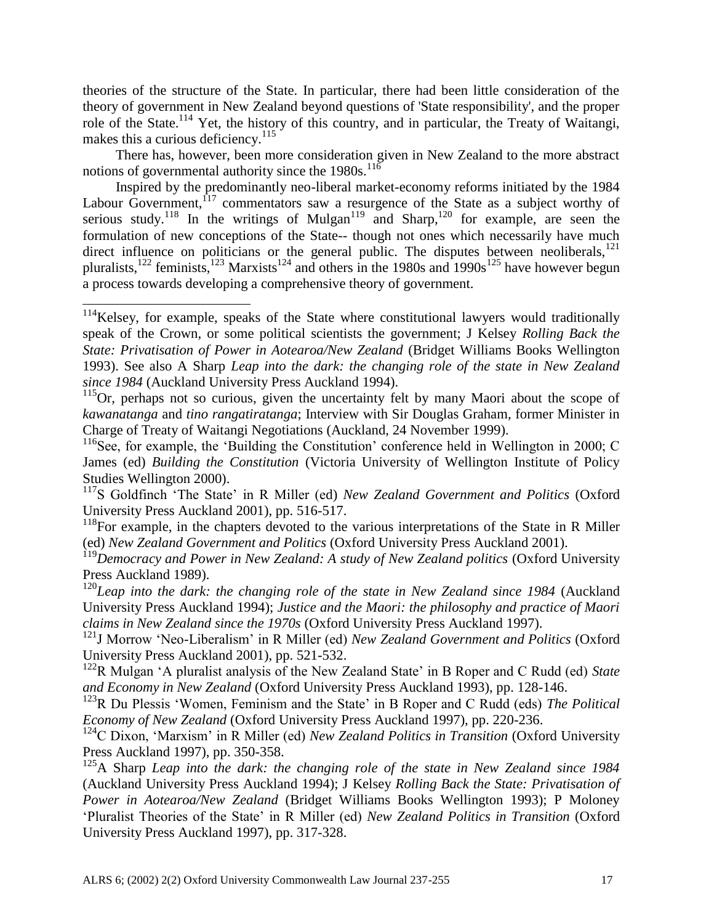theories of the structure of the State. In particular, there had been little consideration of the theory of government in New Zealand beyond questions of 'State responsibility', and the proper role of the State.<sup>114</sup> Yet, the history of this country, and in particular, the Treaty of Waitangi, makes this a curious deficiency. $115$ 

There has, however, been more consideration given in New Zealand to the more abstract notions of governmental authority since the  $1980s$ .<sup>116</sup>

Inspired by the predominantly neo-liberal market-economy reforms initiated by the 1984 Labour Government,  $17$  commentators saw a resurgence of the State as a subject worthy of serious study.<sup>118</sup> In the writings of Mulgan<sup>119</sup> and Sharp,<sup>120</sup> for example, are seen the formulation of new conceptions of the State-- though not ones which necessarily have much direct influence on politicians or the general public. The disputes between neoliberals, $^{121}$ pluralists,<sup>122</sup> feminists,<sup>123</sup> Marxists<sup>124</sup> and others in the 1980s and 1990s<sup>125</sup> have however begun a process towards developing a comprehensive theory of government.

 $114$ Kelsey, for example, speaks of the State where constitutional lawyers would traditionally speak of the Crown, or some political scientists the government; J Kelsey *Rolling Back the State: Privatisation of Power in Aotearoa/New Zealand* (Bridget Williams Books Wellington 1993). See also A Sharp *Leap into the dark: the changing role of the state in New Zealand since 1984* (Auckland University Press Auckland 1994).

<sup>&</sup>lt;sup>115</sup>Or, perhaps not so curious, given the uncertainty felt by many Maori about the scope of *kawanatanga* and *tino rangatiratanga*; Interview with Sir Douglas Graham, former Minister in Charge of Treaty of Waitangi Negotiations (Auckland, 24 November 1999).

<sup>&</sup>lt;sup>116</sup>See, for example, the 'Building the Constitution' conference held in Wellington in 2000; C James (ed) *Building the Constitution* (Victoria University of Wellington Institute of Policy Studies Wellington 2000).

<sup>117</sup>S Goldfinch 'The State' in R Miller (ed) *New Zealand Government and Politics* (Oxford University Press Auckland 2001), pp. 516-517.

 $118$ For example, in the chapters devoted to the various interpretations of the State in R Miller (ed) *New Zealand Government and Politics* (Oxford University Press Auckland 2001).

<sup>&</sup>lt;sup>119</sup>Democracy and Power in New Zealand: A study of New Zealand politics (Oxford University Press Auckland 1989).

<sup>&</sup>lt;sup>120</sup>Leap into the dark: the changing role of the state in New Zealand since 1984 (Auckland University Press Auckland 1994); *Justice and the Maori: the philosophy and practice of Maori claims in New Zealand since the 1970s* (Oxford University Press Auckland 1997).

<sup>121</sup>J Morrow 'Neo-Liberalism' in R Miller (ed) *New Zealand Government and Politics* (Oxford University Press Auckland 2001), pp. 521-532.

<sup>122</sup>R Mulgan 'A pluralist analysis of the New Zealand State' in B Roper and C Rudd (ed) *State and Economy in New Zealand* (Oxford University Press Auckland 1993), pp. 128-146.

<sup>123</sup>R Du Plessis 'Women, Feminism and the State' in B Roper and C Rudd (eds) *The Political Economy of New Zealand* (Oxford University Press Auckland 1997), pp. 220-236.

<sup>124</sup>C Dixon, 'Marxism' in R Miller (ed) *New Zealand Politics in Transition* (Oxford University Press Auckland 1997), pp. 350-358.

<sup>&</sup>lt;sup>125</sup>A Sharp *Leap into the dark: the changing role of the state in New Zealand since 1984* (Auckland University Press Auckland 1994); J Kelsey *Rolling Back the State: Privatisation of Power in Aotearoa/New Zealand* (Bridget Williams Books Wellington 1993); P Moloney 'Pluralist Theories of the State' in R Miller (ed) *New Zealand Politics in Transition* (Oxford University Press Auckland 1997), pp. 317-328.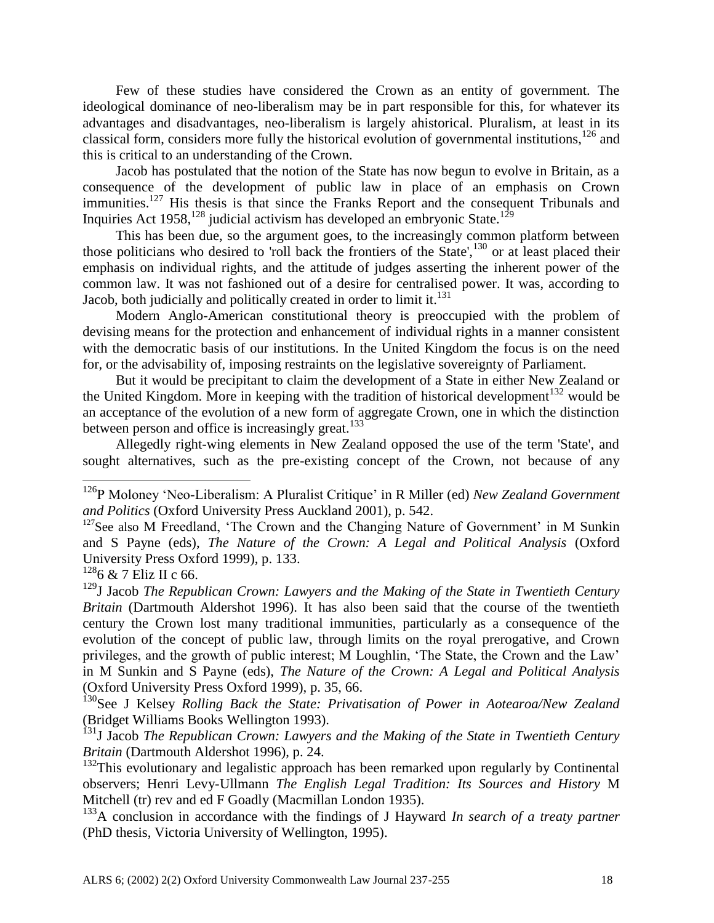Few of these studies have considered the Crown as an entity of government. The ideological dominance of neo-liberalism may be in part responsible for this, for whatever its advantages and disadvantages, neo-liberalism is largely ahistorical. Pluralism, at least in its classical form, considers more fully the historical evolution of governmental institutions,  $^{126}$  and this is critical to an understanding of the Crown.

Jacob has postulated that the notion of the State has now begun to evolve in Britain, as a consequence of the development of public law in place of an emphasis on Crown immunities.<sup>127</sup> His thesis is that since the Franks Report and the consequent Tribunals and Inquiries Act 1958,<sup>128</sup> judicial activism has developed an embryonic State.<sup>129</sup>

This has been due, so the argument goes, to the increasingly common platform between those politicians who desired to 'roll back the frontiers of the State',<sup>130</sup> or at least placed their emphasis on individual rights, and the attitude of judges asserting the inherent power of the common law. It was not fashioned out of a desire for centralised power. It was, according to Jacob, both judicially and politically created in order to limit it.<sup>131</sup>

Modern Anglo-American constitutional theory is preoccupied with the problem of devising means for the protection and enhancement of individual rights in a manner consistent with the democratic basis of our institutions. In the United Kingdom the focus is on the need for, or the advisability of, imposing restraints on the legislative sovereignty of Parliament.

But it would be precipitant to claim the development of a State in either New Zealand or the United Kingdom. More in keeping with the tradition of historical development<sup>132</sup> would be an acceptance of the evolution of a new form of aggregate Crown, one in which the distinction between person and office is increasingly great. $133$ 

Allegedly right-wing elements in New Zealand opposed the use of the term 'State', and sought alternatives, such as the pre-existing concept of the Crown, not because of any

 $\overline{\phantom{a}}$ 

<sup>130</sup>See J Kelsey Rolling Back the State: Privatisation of Power in Aotearoa/New Zealand (Bridget Williams Books Wellington 1993).

<sup>131</sup>J Jacob *The Republican Crown: Lawyers and the Making of the State in Twentieth Century Britain* (Dartmouth Aldershot 1996), p. 24.

<sup>126</sup>P Moloney 'Neo-Liberalism: A Pluralist Critique' in R Miller (ed) *New Zealand Government and Politics* (Oxford University Press Auckland 2001), p. 542.

<sup>&</sup>lt;sup>127</sup>See also M Freedland, 'The Crown and the Changing Nature of Government' in M Sunkin and S Payne (eds), *The Nature of the Crown: A Legal and Political Analysis* (Oxford University Press Oxford 1999), p. 133.

 $1286 \& 7$  Eliz II c 66.

<sup>&</sup>lt;sup>129</sup>J Jacob *The Republican Crown: Lawyers and the Making of the State in Twentieth Century Britain* (Dartmouth Aldershot 1996). It has also been said that the course of the twentieth century the Crown lost many traditional immunities, particularly as a consequence of the evolution of the concept of public law, through limits on the royal prerogative, and Crown privileges, and the growth of public interest; M Loughlin, 'The State, the Crown and the Law' in M Sunkin and S Payne (eds), *The Nature of the Crown: A Legal and Political Analysis*  (Oxford University Press Oxford 1999), p. 35, 66.

 $132$ This evolutionary and legalistic approach has been remarked upon regularly by Continental observers; Henri Levy-Ullmann *The English Legal Tradition: Its Sources and History* M Mitchell (tr) rev and ed F Goadly (Macmillan London 1935).

<sup>133</sup>A conclusion in accordance with the findings of J Hayward *In search of a treaty partner* (PhD thesis, Victoria University of Wellington, 1995).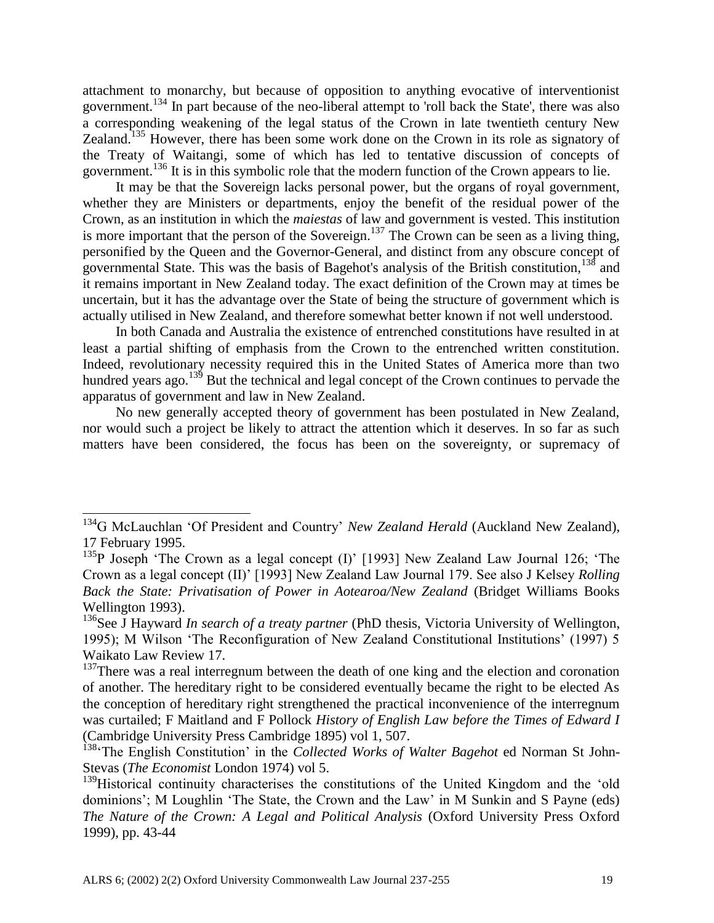attachment to monarchy, but because of opposition to anything evocative of interventionist government.<sup>134</sup> In part because of the neo-liberal attempt to 'roll back the State', there was also a corresponding weakening of the legal status of the Crown in late twentieth century New Zealand.<sup>135</sup> However, there has been some work done on the Crown in its role as signatory of the Treaty of Waitangi, some of which has led to tentative discussion of concepts of government.<sup>136</sup> It is in this symbolic role that the modern function of the Crown appears to lie.

It may be that the Sovereign lacks personal power, but the organs of royal government, whether they are Ministers or departments, enjoy the benefit of the residual power of the Crown, as an institution in which the *maiestas* of law and government is vested. This institution is more important that the person of the Sovereign.<sup>137</sup> The Crown can be seen as a living thing, personified by the Queen and the Governor-General, and distinct from any obscure concept of governmental State. This was the basis of Bagehot's analysis of the British constitution,<sup>138</sup> and it remains important in New Zealand today. The exact definition of the Crown may at times be uncertain, but it has the advantage over the State of being the structure of government which is actually utilised in New Zealand, and therefore somewhat better known if not well understood.

In both Canada and Australia the existence of entrenched constitutions have resulted in at least a partial shifting of emphasis from the Crown to the entrenched written constitution. Indeed, revolutionary necessity required this in the United States of America more than two hundred years ago.<sup>139</sup> But the technical and legal concept of the Crown continues to pervade the apparatus of government and law in New Zealand.

No new generally accepted theory of government has been postulated in New Zealand, nor would such a project be likely to attract the attention which it deserves. In so far as such matters have been considered, the focus has been on the sovereignty, or supremacy of

l

<sup>&</sup>lt;sup>134</sup>G McLauchlan 'Of President and Country' *New Zealand Herald* (Auckland New Zealand), 17 February 1995.

<sup>&</sup>lt;sup>135</sup>P Joseph 'The Crown as a legal concept (I)' [1993] New Zealand Law Journal 126; 'The Crown as a legal concept (II)' [1993] New Zealand Law Journal 179. See also J Kelsey *Rolling Back the State: Privatisation of Power in Aotearoa/New Zealand* (Bridget Williams Books Wellington 1993).

<sup>&</sup>lt;sup>136</sup>See J Hayward *In search of a treaty partner* (PhD thesis, Victoria University of Wellington, 1995); M Wilson 'The Reconfiguration of New Zealand Constitutional Institutions' (1997) 5 Waikato Law Review 17.

<sup>&</sup>lt;sup>137</sup>There was a real interregnum between the death of one king and the election and coronation of another. The hereditary right to be considered eventually became the right to be elected As the conception of hereditary right strengthened the practical inconvenience of the interregnum was curtailed; F Maitland and F Pollock *History of English Law before the Times of Edward I*  (Cambridge University Press Cambridge 1895) vol 1, 507.

<sup>138</sup>'The English Constitution' in the *Collected Works of Walter Bagehot* ed Norman St John-Stevas (*The Economist* London 1974) vol 5.

<sup>&</sup>lt;sup>139</sup>Historical continuity characterises the constitutions of the United Kingdom and the 'old dominions'; M Loughlin 'The State, the Crown and the Law' in M Sunkin and S Payne (eds) *The Nature of the Crown: A Legal and Political Analysis* (Oxford University Press Oxford 1999), pp. 43-44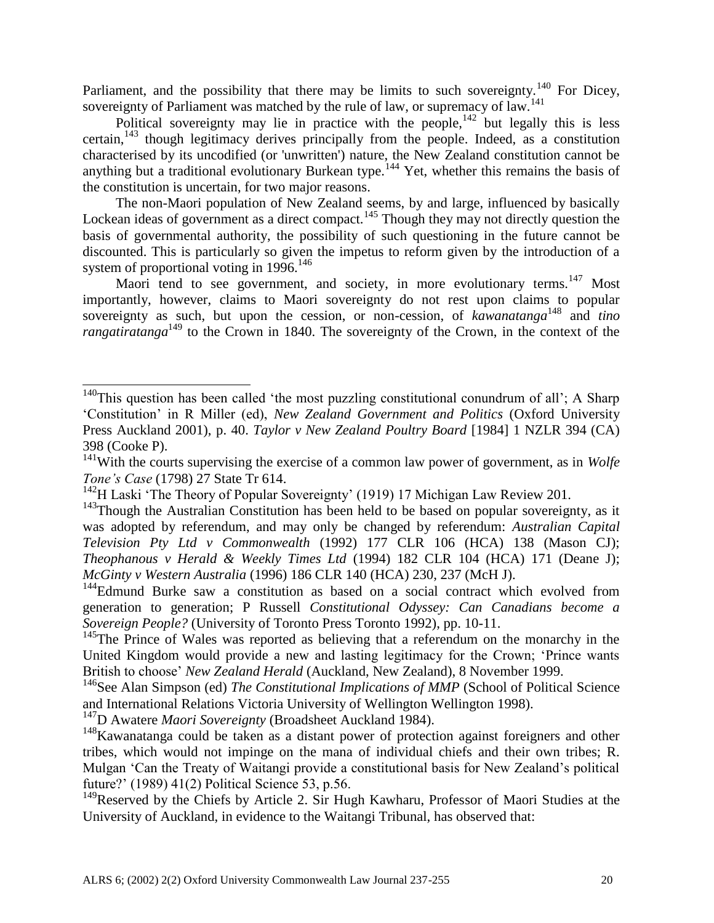Parliament, and the possibility that there may be limits to such sovereignty.<sup>140</sup> For Dicey, sovereignty of Parliament was matched by the rule of law, or supremacy of law.<sup>141</sup>

Political sovereignty may lie in practice with the people,  $142$  but legally this is less certain, $143$  though legitimacy derives principally from the people. Indeed, as a constitution characterised by its uncodified (or 'unwritten') nature, the New Zealand constitution cannot be anything but a traditional evolutionary Burkean type.<sup>144</sup> Yet, whether this remains the basis of the constitution is uncertain, for two major reasons.

The non-Maori population of New Zealand seems, by and large, influenced by basically Lockean ideas of government as a direct compact.<sup>145</sup> Though they may not directly question the basis of governmental authority, the possibility of such questioning in the future cannot be discounted. This is particularly so given the impetus to reform given by the introduction of a system of proportional voting in  $1996$ <sup>146</sup>

Maori tend to see government, and society, in more evolutionary terms.<sup>147</sup> Most importantly, however, claims to Maori sovereignty do not rest upon claims to popular sovereignty as such, but upon the cession, or non-cession, of *kawanatanga*<sup>148</sup> and *tino rangatiratanga*<sup>149</sup> to the Crown in 1840. The sovereignty of the Crown, in the context of the

 $140$ This question has been called 'the most puzzling constitutional conundrum of all'; A Sharp 'Constitution' in R Miller (ed), *New Zealand Government and Politics* (Oxford University Press Auckland 2001), p. 40. *Taylor v New Zealand Poultry Board* [1984] 1 NZLR 394 (CA) 398 (Cooke P).

<sup>&</sup>lt;sup>141</sup>With the courts supervising the exercise of a common law power of government, as in *Wolfe Tone's Case* (1798) 27 State Tr 614.

<sup>&</sup>lt;sup>142</sup>H Laski 'The Theory of Popular Sovereignty' (1919) 17 Michigan Law Review 201.

 $143$ Though the Australian Constitution has been held to be based on popular sovereignty, as it was adopted by referendum, and may only be changed by referendum: *Australian Capital Television Pty Ltd v Commonwealth* (1992) 177 CLR 106 (HCA) 138 (Mason CJ); *Theophanous v Herald & Weekly Times Ltd* (1994) 182 CLR 104 (HCA) 171 (Deane J); *McGinty v Western Australia* (1996) 186 CLR 140 (HCA) 230, 237 (McH J).

<sup>&</sup>lt;sup>144</sup>Edmund Burke saw a constitution as based on a social contract which evolved from generation to generation; P Russell *Constitutional Odyssey: Can Canadians become a Sovereign People?* (University of Toronto Press Toronto 1992), pp. 10-11.

<sup>&</sup>lt;sup>145</sup>The Prince of Wales was reported as believing that a referendum on the monarchy in the United Kingdom would provide a new and lasting legitimacy for the Crown; 'Prince wants British to choose' *New Zealand Herald* (Auckland, New Zealand), 8 November 1999.

<sup>&</sup>lt;sup>146</sup>See Alan Simpson (ed) *The Constitutional Implications of MMP* (School of Political Science and International Relations Victoria University of Wellington Wellington 1998).

<sup>&</sup>lt;sup>147</sup>D Awatere *Maori Sovereignty* (Broadsheet Auckland 1984).

<sup>&</sup>lt;sup>148</sup>Kawanatanga could be taken as a distant power of protection against foreigners and other tribes, which would not impinge on the mana of individual chiefs and their own tribes; R. Mulgan 'Can the Treaty of Waitangi provide a constitutional basis for New Zealand's political future?' (1989) 41(2) Political Science 53, p.56.

<sup>&</sup>lt;sup>149</sup>Reserved by the Chiefs by Article 2. Sir Hugh Kawharu, Professor of Maori Studies at the University of Auckland, in evidence to the Waitangi Tribunal, has observed that: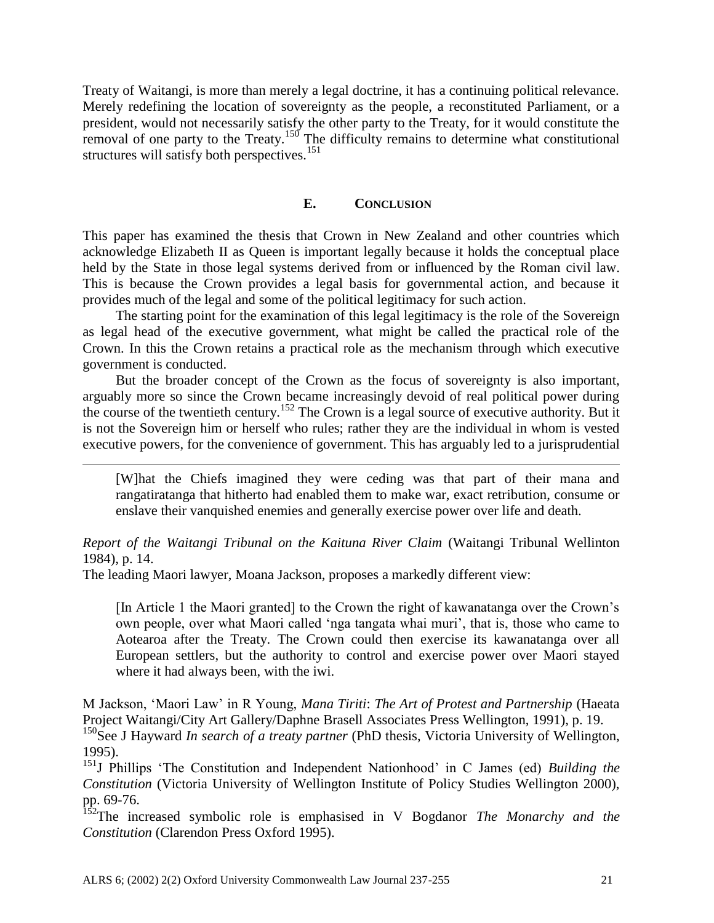Treaty of Waitangi, is more than merely a legal doctrine, it has a continuing political relevance. Merely redefining the location of sovereignty as the people, a reconstituted Parliament, or a president, would not necessarily satisfy the other party to the Treaty, for it would constitute the removal of one party to the Treaty.<sup>150</sup> The difficulty remains to determine what constitutional structures will satisfy both perspectives.<sup>151</sup>

## **E. CONCLUSION**

This paper has examined the thesis that Crown in New Zealand and other countries which acknowledge Elizabeth II as Queen is important legally because it holds the conceptual place held by the State in those legal systems derived from or influenced by the Roman civil law. This is because the Crown provides a legal basis for governmental action, and because it provides much of the legal and some of the political legitimacy for such action.

The starting point for the examination of this legal legitimacy is the role of the Sovereign as legal head of the executive government, what might be called the practical role of the Crown. In this the Crown retains a practical role as the mechanism through which executive government is conducted.

But the broader concept of the Crown as the focus of sovereignty is also important, arguably more so since the Crown became increasingly devoid of real political power during the course of the twentieth century.<sup>152</sup> The Crown is a legal source of executive authority. But it is not the Sovereign him or herself who rules; rather they are the individual in whom is vested executive powers, for the convenience of government. This has arguably led to a jurisprudential

[W]hat the Chiefs imagined they were ceding was that part of their mana and rangatiratanga that hitherto had enabled them to make war, exact retribution, consume or enslave their vanquished enemies and generally exercise power over life and death.

## *Report of the Waitangi Tribunal on the Kaituna River Claim* (Waitangi Tribunal Wellinton 1984), p. 14.

The leading Maori lawyer, Moana Jackson, proposes a markedly different view:

 $\overline{\phantom{a}}$ 

[In Article 1 the Maori granted] to the Crown the right of kawanatanga over the Crown's own people, over what Maori called 'nga tangata whai muri', that is, those who came to Aotearoa after the Treaty. The Crown could then exercise its kawanatanga over all European settlers, but the authority to control and exercise power over Maori stayed where it had always been, with the iwi.

M Jackson, 'Maori Law' in R Young, *Mana Tiriti*: *The Art of Protest and Partnership* (Haeata Project Waitangi/City Art Gallery/Daphne Brasell Associates Press Wellington, 1991), p. 19. <sup>150</sup>See J Hayward *In search of a treaty partner* (PhD thesis, Victoria University of Wellington, 1995).

<sup>151</sup>J Phillips 'The Constitution and Independent Nationhood' in C James (ed) *Building the Constitution* (Victoria University of Wellington Institute of Policy Studies Wellington 2000), pp. 69-76.

<sup>152</sup>The increased symbolic role is emphasised in V Bogdanor *The Monarchy and the Constitution* (Clarendon Press Oxford 1995).